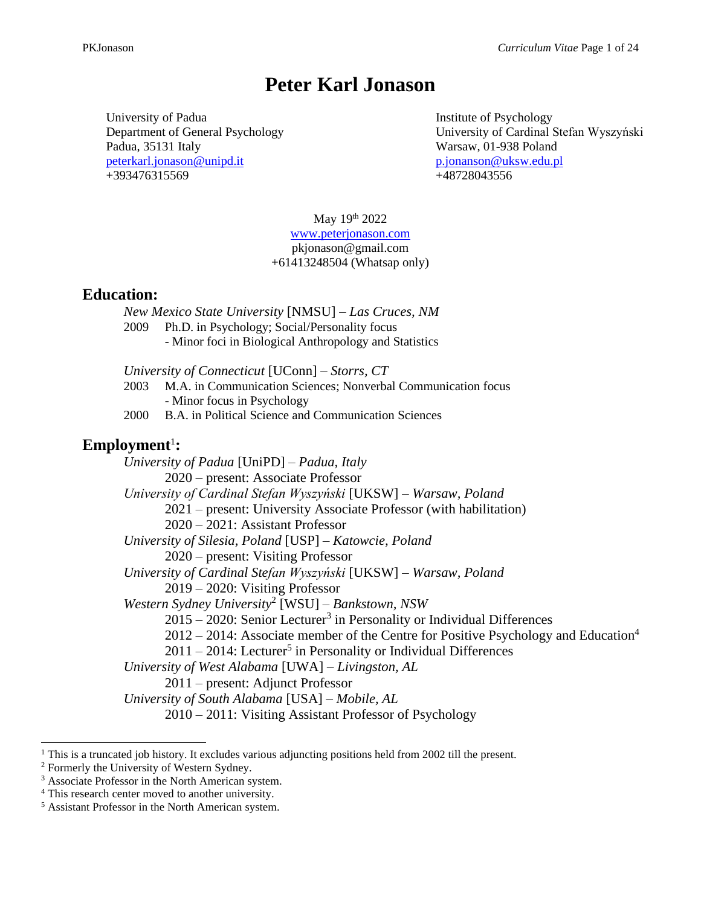# **Peter Karl Jonason**

University of Padua Department of General Psychology Padua, 35131 Italy [peterkarl.jonason@unipd.it](mailto:peterkarl.jonason@unipd.it) +393476315569

Institute of Psychology University of Cardinal Stefan Wyszyński Warsaw, 01-938 Poland [p.jonanson@uksw.edu.pl](mailto:p.jonanson@uksw.edu.pl) +48728043556

May 19th 2022 [www.peterjonason.com](http://www.peterjonason.com/) pkjonason@gmail.com +61413248504 (Whatsap only)

# **Education:**

*New Mexico State University* [NMSU] *– Las Cruces, NM* 2009 Ph.D. in Psychology; Social/Personality focus - Minor foci in Biological Anthropology and Statistics *University of Connecticut* [UConn] *– Storrs, CT*

- 2003 M.A. in Communication Sciences; Nonverbal Communication focus - Minor focus in Psychology
- 2000 B.A. in Political Science and Communication Sciences

# **Employment**<sup>1</sup> **:**

*University of Padua* [UniPD] *– Padua, Italy* 2020 – present: Associate Professor *University of Cardinal Stefan Wyszyński* [UKSW] *– Warsaw, Poland* 2021 – present: University Associate Professor (with habilitation) 2020 – 2021: Assistant Professor *University of Silesia, Poland* [USP] *– Katowcie, Poland* 2020 – present: Visiting Professor *University of Cardinal Stefan Wyszyński* [UKSW] *– Warsaw, Poland* 2019 – 2020: Visiting Professor *Western Sydney University*<sup>2</sup> [WSU] *– Bankstown, NSW* 2015 – 2020: Senior Lecturer<sup>3</sup> in Personality or Individual Differences  $2012 - 2014$ : Associate member of the Centre for Positive Psychology and Education<sup>4</sup> 2011 – 2014: Lecturer 5 in Personality or Individual Differences *University of West Alabama* [UWA] *– Livingston, AL* 2011 – present: Adjunct Professor *University of South Alabama* [USA] *– Mobile, AL* 2010 – 2011: Visiting Assistant Professor of Psychology

 $1$  This is a truncated job history. It excludes various adjuncting positions held from 2002 till the present.

<sup>&</sup>lt;sup>2</sup> Formerly the University of Western Sydney.

<sup>&</sup>lt;sup>3</sup> Associate Professor in the North American system.

<sup>4</sup> This research center moved to another university.

<sup>5</sup> Assistant Professor in the North American system.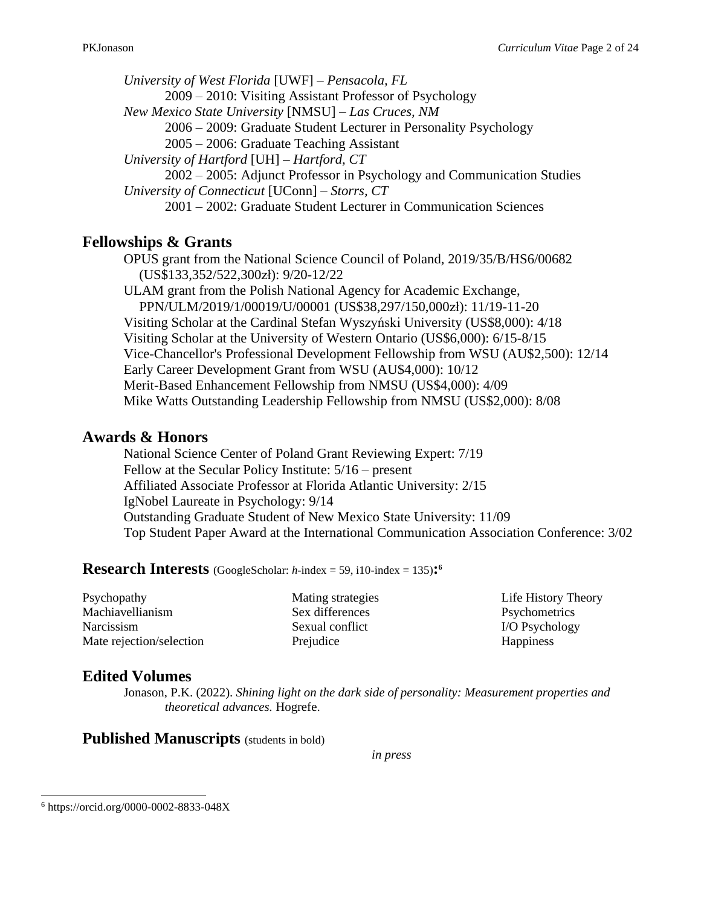*University of West Florida* [UWF] *– Pensacola, FL* 2009 – 2010: Visiting Assistant Professor of Psychology *New Mexico State University* [NMSU] *– Las Cruces, NM* 2006 – 2009: Graduate Student Lecturer in Personality Psychology 2005 – 2006: Graduate Teaching Assistant *University of Hartford* [UH] *– Hartford, CT* 2002 – 2005: Adjunct Professor in Psychology and Communication Studies *University of Connecticut* [UConn] – *Storrs, CT* 2001 – 2002: Graduate Student Lecturer in Communication Sciences

# **Fellowships & Grants**

OPUS grant from the National Science Council of Poland, 2019/35/B/HS6/00682 (US\$133,352/522,300zł): 9/20-12/22 ULAM grant from the Polish National Agency for Academic Exchange,

PPN/ULM/2019/1/00019/U/00001 (US\$38,297/150,000zł): 11/19-11-20 Visiting Scholar at the Cardinal Stefan Wyszyński University (US\$8,000): 4/18 Visiting Scholar at the University of Western Ontario (US\$6,000): 6/15-8/15 Vice-Chancellor's Professional Development Fellowship from WSU (AU\$2,500): 12/14 Early Career Development Grant from WSU (AU\$4,000): 10/12 Merit-Based Enhancement Fellowship from NMSU (US\$4,000): 4/09 Mike Watts Outstanding Leadership Fellowship from NMSU (US\$2,000): 8/08

# **Awards & Honors**

National Science Center of Poland Grant Reviewing Expert: 7/19 Fellow at the Secular Policy Institute: 5/16 – present Affiliated Associate Professor at Florida Atlantic University: 2/15 IgNobel Laureate in Psychology: 9/14 Outstanding Graduate Student of New Mexico State University: 11/09 Top Student Paper Award at the International Communication Association Conference: 3/02

**Research Interests** (GoogleScholar:  $h$ -index = 59, i10-index = 135):<sup>6</sup>

Psychopathy Machiavellianism Narcissism Mate rejection/selection Mating strategies Sex differences Sexual conflict Prejudice

Life History Theory **Psychometrics** I/O Psychology **Happiness** 

# **Edited Volumes**

Jonason, P.K. (2022). *Shining light on the dark side of personality: Measurement properties and theoretical advances.* Hogrefe.

**Published Manuscripts** (students in bold)

*in press*

<sup>6</sup> https://orcid.org/0000-0002-8833-048X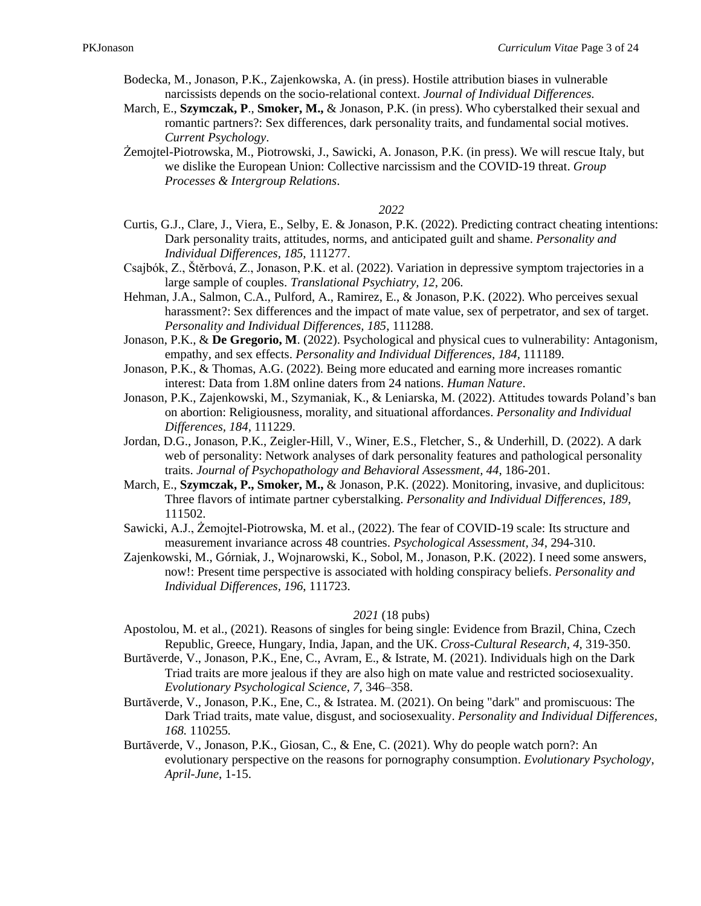- Bodecka, M., Jonason, P.K., Zajenkowska, A. (in press). Hostile attribution biases in vulnerable narcissists depends on the socio-relational context. *Journal of Individual Differences.*
- March, E., **Szymczak, P**., **Smoker, M.,** & Jonason, P.K. (in press). Who cyberstalked their sexual and romantic partners?: Sex differences, dark personality traits, and fundamental social motives. *Current Psychology*.
- Żemojtel-Piotrowska, M., Piotrowski, J., Sawicki, A. Jonason, P.K. (in press). We will rescue Italy, but we dislike the European Union: Collective narcissism and the COVID-19 threat. *Group Processes & Intergroup Relations*.

#### *2022*

- Curtis, G.J., Clare, J., Viera, E., Selby, E. & Jonason, P.K. (2022). Predicting contract cheating intentions: Dark personality traits, attitudes, norms, and anticipated guilt and shame. *Personality and Individual Differences, 185,* 111277.
- Csajbók, Z., Štěrbová, Z., Jonason, P.K. et al. (2022). Variation in depressive symptom trajectories in a large sample of couples. *Translational Psychiatry, 12*, 206.
- Hehman, J.A., Salmon, C.A., Pulford, A., Ramirez, E., & Jonason, P.K. (2022). Who perceives sexual harassment?: Sex differences and the impact of mate value, sex of perpetrator, and sex of target. *Personality and Individual Differences, 185*, 111288.
- Jonason, P.K., & **De Gregorio, M**. (2022). Psychological and physical cues to vulnerability: Antagonism, empathy, and sex effects. *Personality and Individual Differences, 184,* 111189.
- Jonason, P.K., & Thomas, A.G. (2022). Being more educated and earning more increases romantic interest: Data from 1.8M online daters from 24 nations. *Human Nature*.
- Jonason, P.K., Zajenkowski, M., Szymaniak, K., & Leniarska, M. (2022). Attitudes towards Poland's ban on abortion: Religiousness, morality, and situational affordances. *Personality and Individual Differences, 184,* 111229.
- Jordan, D.G., Jonason, P.K., Zeigler-Hill, V., Winer, E.S., Fletcher, S., & Underhill, D. (2022). A dark web of personality: Network analyses of dark personality features and pathological personality traits. *Journal of Psychopathology and Behavioral Assessment, 44*, 186-201.
- March, E., Szymczak, P., Smoker, M., & Jonason, P.K. (2022). Monitoring, invasive, and duplicitous: Three flavors of intimate partner cyberstalking. *Personality and Individual Differences*, *189,*  111502.
- Sawicki, A.J., Żemojtel-Piotrowska, M. et al., (2022). The fear of COVID-19 scale: Its structure and measurement invariance across 48 countries. *Psychological Assessment, 34*, 294-310.
- Zajenkowski, M., Górniak, J., Wojnarowski, K., Sobol, M., Jonason, P.K. (2022). I need some answers, now!: Present time perspective is associated with holding conspiracy beliefs. *Personality and Individual Differences, 196*, 111723.

### *2021* (18 pubs)

- Apostolou, M. et al., (2021). Reasons of singles for being single: Evidence from Brazil, China, Czech Republic, Greece, Hungary, India, Japan, and the UK. *Cross-Cultural Research, 4,* 319-350.
- Burtăverde, V., Jonason, P.K., Ene, C., Avram, E., & Istrate, M. (2021). Individuals high on the Dark Triad traits are more jealous if they are also high on mate value and restricted sociosexuality. *Evolutionary Psychological Science, 7,* 346–358.
- Burtăverde, V., Jonason, P.K., Ene, C., & Istratea. M. (2021). On being "dark" and promiscuous: The Dark Triad traits, mate value, disgust, and sociosexuality. *Personality and Individual Differences, 168.* 110255*.*
- Burtăverde, V., Jonason, P.K., Giosan, C., & Ene, C. (2021). Why do people watch porn?: An evolutionary perspective on the reasons for pornography consumption. *Evolutionary Psychology*, *April-June*, 1-15.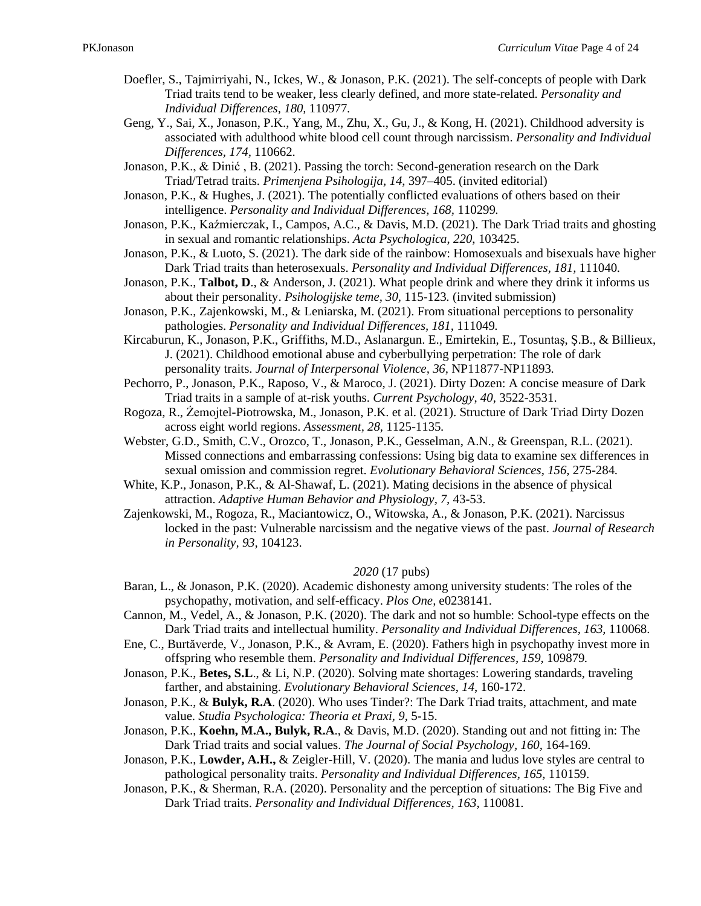- Doefler, S., Tajmirriyahi, N., Ickes, W., & Jonason, P.K. (2021). The self-concepts of people with Dark Triad traits tend to be weaker, less clearly defined, and more state-related. *Personality and Individual Differences, 180,* 110977*.*
- Geng, Y., Sai, X., Jonason, P.K., Yang, M., Zhu, X., Gu, J., & Kong, H. (2021). Childhood adversity is associated with adulthood white blood cell count through narcissism. *Personality and Individual Differences, 174,* 110662.
- Jonason, P.K., & Dinić , B. (2021). Passing the torch: Second-generation research on the Dark Triad/Tetrad traits. *Primenjena Psihologija, 14*, 397–405. (invited editorial)
- Jonason, P.K., & Hughes, J. (2021). The potentially conflicted evaluations of others based on their intelligence. *Personality and Individual Differences, 168,* 110299*.*
- Jonason, P.K., Kaźmierczak, I., Campos, A.C., & Davis, M.D. (2021). The Dark Triad traits and ghosting in sexual and romantic relationships. *Acta Psychologica*, *220*, 103425.
- Jonason, P.K., & Luoto, S. (2021). The dark side of the rainbow: Homosexuals and bisexuals have higher Dark Triad traits than heterosexuals. *Personality and Individual Differences, 181,* 111040*.*
- Jonason, P.K., **Talbot, D**., & Anderson, J. (2021). What people drink and where they drink it informs us about their personality. *Psihologijske teme, 30,* 115-123*.* (invited submission)
- Jonason, P.K., Zajenkowski, M., & Leniarska, M. (2021). From situational perceptions to personality pathologies. *Personality and Individual Differences, 181,* 111049*.*
- Kircaburun, K., Jonason, P.K., Griffiths, M.D., Aslanargun. E., Emirtekin, E., Tosuntaş, Ş.B., & Billieux, J. (2021). Childhood emotional abuse and cyberbullying perpetration: The role of dark personality traits. *Journal of Interpersonal Violence, 36,* NP11877-NP11893*.*
- Pechorro, P., Jonason, P.K., Raposo, V., & Maroco, J. (2021). Dirty Dozen: A concise measure of Dark Triad traits in a sample of at-risk youths. *Current Psychology*, *40*, 3522-3531.
- Rogoza, R., Żemojtel-Piotrowska, M., Jonason, P.K. et al. (2021). Structure of Dark Triad Dirty Dozen across eight world regions. *Assessment, 28,* 1125-1135*.*
- Webster, G.D., Smith, C.V., Orozco, T., Jonason, P.K., Gesselman, A.N., & Greenspan, R.L. (2021). Missed connections and embarrassing confessions: Using big data to examine sex differences in sexual omission and commission regret. *Evolutionary Behavioral Sciences, 156,* 275-284*.*
- White, K.P., Jonason, P.K., & Al-Shawaf, L. (2021). Mating decisions in the absence of physical attraction. *Adaptive Human Behavior and Physiology, 7,* 43-53.
- Zajenkowski, M., Rogoza, R., Maciantowicz, O., Witowska, A., & Jonason, P.K. (2021). Narcissus locked in the past: Vulnerable narcissism and the negative views of the past. *Journal of Research in Personality, 93,* 104123.

### *2020* (17 pubs)

- Baran, L., & Jonason, P.K. (2020). Academic dishonesty among university students: The roles of the psychopathy, motivation, and self-efficacy. *Plos One,* e0238141.
- Cannon, M., Vedel, A., & Jonason, P.K. (2020). The dark and not so humble: School-type effects on the Dark Triad traits and intellectual humility. *Personality and Individual Differences, 163,* 110068.
- Ene, C., Burtăverde, V., Jonason, P.K., & Avram, E. (2020). Fathers high in psychopathy invest more in offspring who resemble them. *Personality and Individual Differences, 159,* 109879*.*
- Jonason, P.K., **Betes, S.L**., & Li, N.P. (2020). Solving mate shortages: Lowering standards, traveling farther, and abstaining. *Evolutionary Behavioral Sciences*, *14*, 160-172.
- Jonason, P.K., & **Bulyk, R.A**. (2020). Who uses Tinder?: The Dark Triad traits, attachment, and mate value. *Studia Psychologica: Theoria et Praxi, 9,* 5-15.
- Jonason, P.K., **Koehn, M.A., Bulyk, R.A**., & Davis, M.D. (2020). Standing out and not fitting in: The Dark Triad traits and social values. *The Journal of Social Psychology, 160,* 164-169.
- Jonason, P.K., **Lowder, A.H.,** & Zeigler-Hill, V. (2020). The mania and ludus love styles are central to pathological personality traits. *Personality and Individual Differences, 165,* 110159.
- Jonason, P.K., & Sherman, R.A. (2020). Personality and the perception of situations: The Big Five and Dark Triad traits. *Personality and Individual Differences, 163,* 110081.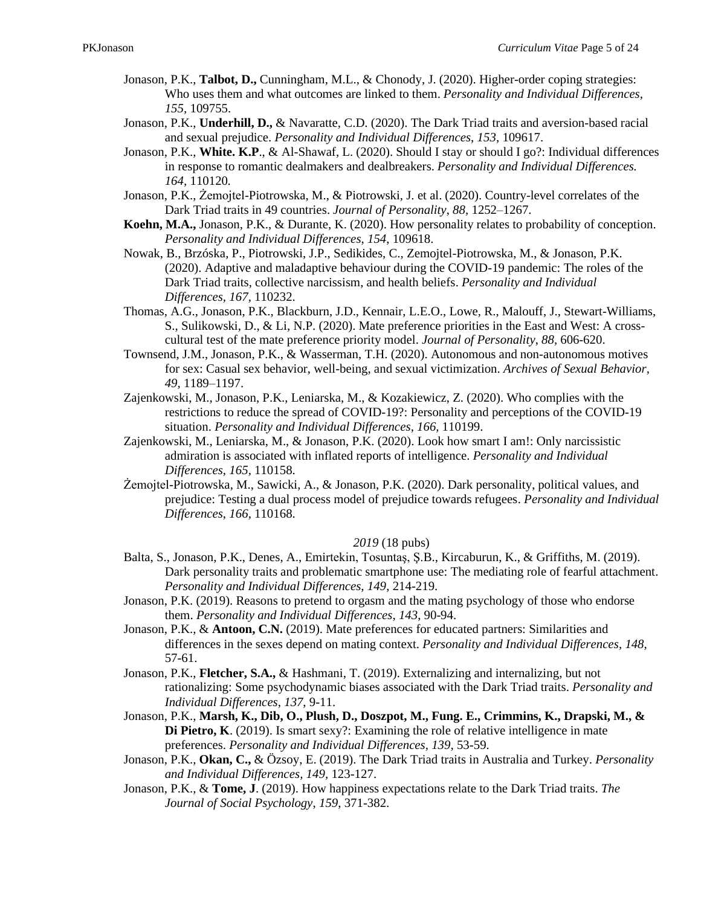- Jonason, P.K., **Talbot, D.,** Cunningham, M.L., & Chonody, J. (2020). Higher-order coping strategies: Who uses them and what outcomes are linked to them. *Personality and Individual Differences, 155,* 109755.
- Jonason, P.K., **Underhill, D.,** & Navaratte, C.D. (2020). The Dark Triad traits and aversion-based racial and sexual prejudice. *Personality and Individual Differences*, *153*, 109617.
- Jonason, P.K., **White. K.P**., & Al-Shawaf, L. (2020). Should I stay or should I go?: Individual differences in response to romantic dealmakers and dealbreakers. *Personality and Individual Differences. 164,* 110120*.*
- Jonason, P.K., Żemojtel-Piotrowska, M., & Piotrowski, J. et al. (2020). Country-level correlates of the Dark Triad traits in 49 countries. *Journal of Personality*, *88,* 1252–1267.
- **Koehn, M.A.,** Jonason, P.K., & Durante, K. (2020). How personality relates to probability of conception. *Personality and Individual Differences*, *154*, 109618.
- Nowak, B., Brzóska, P., Piotrowski, J.P., Sedikides, C., Zemojtel-Piotrowska, M., & Jonason, P.K. (2020). Adaptive and maladaptive behaviour during the COVID-19 pandemic: The roles of the Dark Triad traits, collective narcissism, and health beliefs. *Personality and Individual Differences, 167,* 110232.
- Thomas, A.G., Jonason, P.K., Blackburn, J.D., Kennair, L.E.O., Lowe, R., Malouff, J., Stewart-Williams, S., Sulikowski, D., & Li, N.P. (2020). Mate preference priorities in the East and West: A crosscultural test of the mate preference priority model. *Journal of Personality*, *88*, 606-620.
- Townsend, J.M., Jonason, P.K., & Wasserman, T.H. (2020). Autonomous and non-autonomous motives for sex: Casual sex behavior, well-being, and sexual victimization. *Archives of Sexual Behavior, 49,* 1189–1197.
- Zajenkowski, M., Jonason, P.K., Leniarska, M., & Kozakiewicz, Z. (2020). Who complies with the restrictions to reduce the spread of COVID-19?: Personality and perceptions of the COVID-19 situation. *Personality and Individual Differences*, *166,* 110199.
- Zajenkowski, M., Leniarska, M., & Jonason, P.K. (2020). Look how smart I am!: Only narcissistic admiration is associated with inflated reports of intelligence. *Personality and Individual Differences, 165,* 110158.
- Żemojtel-Piotrowska, M., Sawicki, A., & Jonason, P.K. (2020). Dark personality, political values, and prejudice: Testing a dual process model of prejudice towards refugees. *Personality and Individual Differences*, *166*, 110168.

### *2019* (18 pubs)

- Balta, S., Jonason, P.K., Denes, A., Emirtekin, Tosuntaş, Ş.B., Kircaburun, K., & Griffiths, M. (2019). Dark personality traits and problematic smartphone use: The mediating role of fearful attachment. *Personality and Individual Differences, 149*, 214-219.
- Jonason, P.K. (2019). Reasons to pretend to orgasm and the mating psychology of those who endorse them. *Personality and Individual Differences, 143*, 90-94.
- Jonason, P.K., & **Antoon, C.N.** (2019). Mate preferences for educated partners: Similarities and differences in the sexes depend on mating context. *Personality and Individual Differences, 148,*  57-61.
- Jonason, P.K., **Fletcher, S.A.,** & Hashmani, T. (2019). Externalizing and internalizing, but not rationalizing: Some psychodynamic biases associated with the Dark Triad traits. *Personality and Individual Differences*, *137*, 9-11.
- Jonason, P.K., **Marsh, K., Dib, O., Plush, D., Doszpot, M., Fung. E., Crimmins, K., Drapski, M., & Di Pietro, K**. (2019). Is smart sexy?: Examining the role of relative intelligence in mate preferences. *Personality and Individual Differences, 139,* 53-59.
- Jonason, P.K., **Okan, C.,** & Özsoy, E. (2019). The Dark Triad traits in Australia and Turkey. *Personality and Individual Differences, 149,* 123-127.
- Jonason, P.K., & **Tome, J**. (2019). How happiness expectations relate to the Dark Triad traits. *The Journal of Social Psychology*, *159*, 371-382.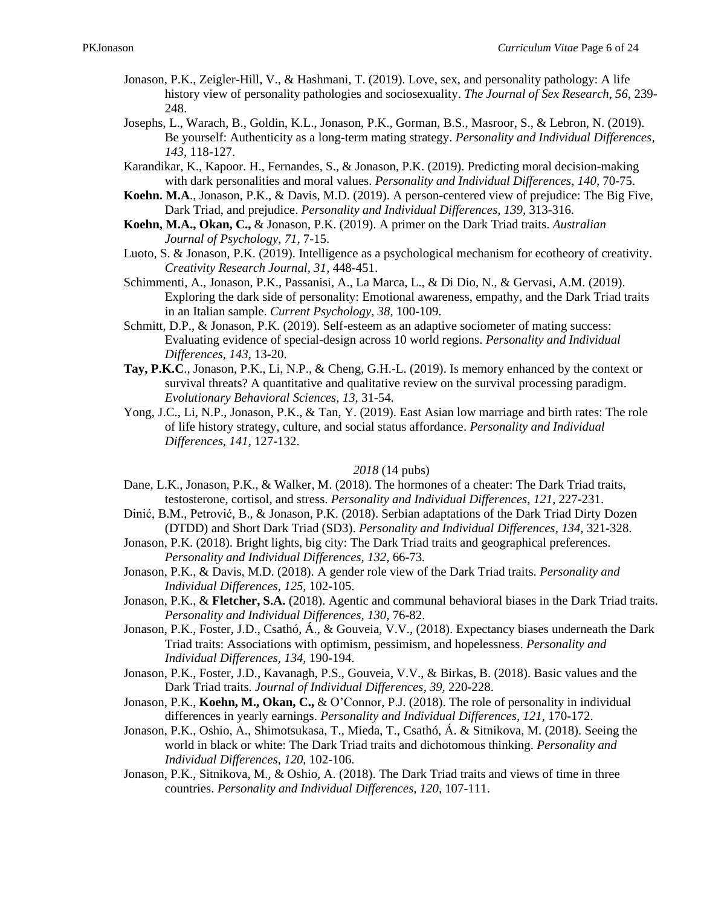- Jonason, P.K., Zeigler-Hill, V., & Hashmani, T. (2019). Love, sex, and personality pathology: A life history view of personality pathologies and sociosexuality. *The Journal of Sex Research*, *56*, 239- 248.
- Josephs, L., Warach, B., Goldin, K.L., Jonason, P.K., Gorman, B.S., Masroor, S., & Lebron, N. (2019). Be yourself: Authenticity as a long-term mating strategy. *Personality and Individual Differences, 143,* 118-127.
- Karandikar, K., Kapoor. H., Fernandes, S., & Jonason, P.K. (2019). Predicting moral decision-making with dark personalities and moral values. *Personality and Individual Differences, 140,* 70-75.
- **Koehn. M.A**., Jonason, P.K., & Davis, M.D. (2019). A person-centered view of prejudice: The Big Five, Dark Triad, and prejudice. *Personality and Individual Differences, 139,* 313-316.
- **Koehn, M.A., Okan, C.,** & Jonason, P.K. (2019). A primer on the Dark Triad traits. *Australian Journal of Psychology, 71,* 7-15.
- Luoto, S. & Jonason, P.K. (2019). Intelligence as a psychological mechanism for ecotheory of creativity. *Creativity Research Journal, 31*, 448-451.
- Schimmenti, A., Jonason, P.K., Passanisi, A., La Marca, L., & Di Dio, N., & Gervasi, A.M. (2019). Exploring the dark side of personality: Emotional awareness, empathy, and the Dark Triad traits in an Italian sample. *Current Psychology, 38*, 100-109.
- Schmitt, D.P., & Jonason, P.K. (2019). Self-esteem as an adaptive sociometer of mating success: Evaluating evidence of special-design across 10 world regions. *Personality and Individual Differences, 143,* 13-20.
- **Tay, P.K.C**., Jonason, P.K., Li, N.P., & Cheng, G.H.-L. (2019). Is memory enhanced by the context or survival threats? A quantitative and qualitative review on the survival processing paradigm. *Evolutionary Behavioral Sciences, 13*, 31-54.
- Yong, J.C., Li, N.P., Jonason, P.K., & Tan, Y. (2019). East Asian low marriage and birth rates: The role of life history strategy, culture, and social status affordance. *Personality and Individual Differences, 141,* 127-132.

### *2018* (14 pubs)

- Dane, L.K., Jonason, P.K., & Walker, M. (2018). The hormones of a cheater: The Dark Triad traits, testosterone, cortisol, and stress. *Personality and Individual Differences*, *121*, 227-231.
- Dinić, B.M., Petrović, B., & Jonason, P.K. (2018). Serbian adaptations of the Dark Triad Dirty Dozen (DTDD) and Short Dark Triad (SD3). *Personality and Individual Differences, 134,* 321-328.
- Jonason, P.K. (2018). Bright lights, big city: The Dark Triad traits and geographical preferences. *Personality and Individual Differences*, *132,* 66-73*.*
- Jonason, P.K., & Davis, M.D. (2018). A gender role view of the Dark Triad traits. *Personality and Individual Differences, 125,* 102-105.
- Jonason, P.K., & **Fletcher, S.A.** (2018). Agentic and communal behavioral biases in the Dark Triad traits. *Personality and Individual Differences, 130,* 76-82.
- Jonason, P.K., Foster, J.D., Csathó, Á., & Gouveia, V.V., (2018). Expectancy biases underneath the Dark Triad traits: Associations with optimism, pessimism, and hopelessness. *Personality and Individual Differences, 134,* 190-194.
- Jonason, P.K., Foster, J.D., Kavanagh, P.S., Gouveia, V.V., & Birkas, B. (2018). Basic values and the Dark Triad traits. *Journal of Individual Differences, 39,* 220-228.
- Jonason, P.K., **Koehn, M., Okan, C.,** & O'Connor, P.J. (2018). The role of personality in individual differences in yearly earnings. *Personality and Individual Differences, 121,* 170-172.
- Jonason, P.K., Oshio, A., Shimotsukasa, T., Mieda, T., Csathó, Á. & Sitnikova, M. (2018). Seeing the world in black or white: The Dark Triad traits and dichotomous thinking. *Personality and Individual Differences*, *120*, 102-106.
- Jonason, P.K., Sitnikova, M., & Oshio, A. (2018). The Dark Triad traits and views of time in three countries. *Personality and Individual Differences, 120,* 107-111.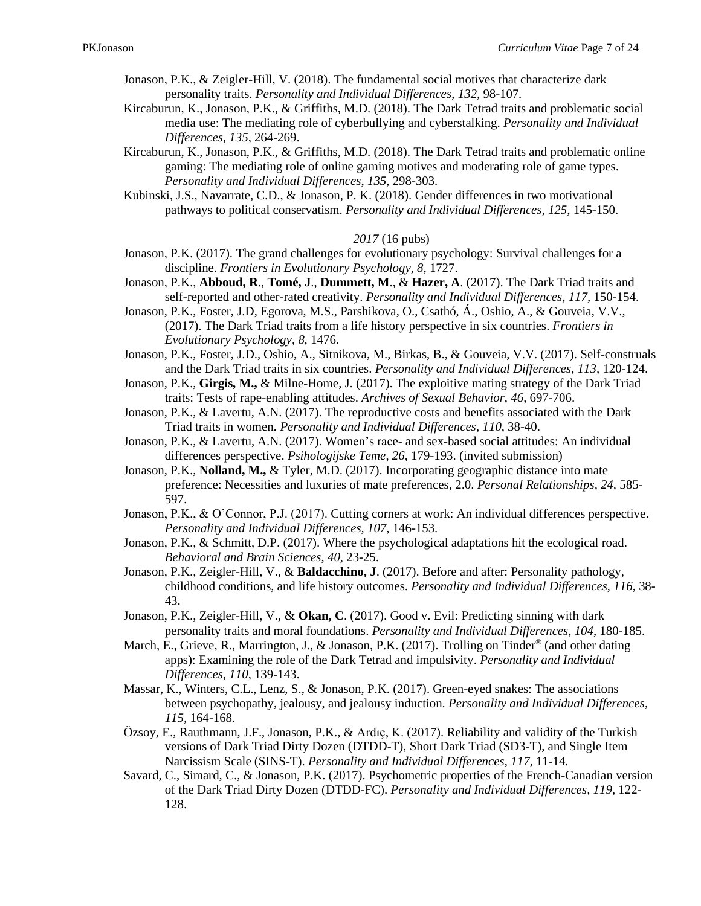- Jonason, P.K., & Zeigler-Hill, V. (2018). The fundamental social motives that characterize dark personality traits. *Personality and Individual Differences*, *132,* 98-107*.*
- Kircaburun, K., Jonason, P.K., & Griffiths, M.D. (2018). The Dark Tetrad traits and problematic social media use: The mediating role of cyberbullying and cyberstalking. *Personality and Individual Differences*, *135*, 264-269.
- Kircaburun, K., Jonason, P.K., & Griffiths, M.D. (2018). The Dark Tetrad traits and problematic online gaming: The mediating role of online gaming motives and moderating role of game types. *Personality and Individual Differences*, *135*, 298-303.
- Kubinski, J.S., Navarrate, C.D., & Jonason, P. K. (2018). Gender differences in two motivational pathways to political conservatism. *Personality and Individual Differences*, *125*, 145-150.

### *2017* (16 pubs)

- Jonason, P.K. (2017). The grand challenges for evolutionary psychology: Survival challenges for a discipline. *Frontiers in Evolutionary Psychology, 8*, 1727.
- Jonason, P.K., **Abboud, R**., **Tomé, J**., **Dummett, M**., & **Hazer, A**. (2017). The Dark Triad traits and self-reported and other-rated creativity. *Personality and Individual Differences, 117,* 150-154.
- Jonason, P.K., Foster, J.D, Egorova, M.S., Parshikova, O., Csathó, Á., Oshio, A., & Gouveia, V.V., (2017). The Dark Triad traits from a life history perspective in six countries. *Frontiers in Evolutionary Psychology*, *8,* 1476.
- Jonason, P.K., Foster, J.D., Oshio, A., Sitnikova, M., Birkas, B., & Gouveia, V.V. (2017). Self-construals and the Dark Triad traits in six countries. *Personality and Individual Differences, 113,* 120-124.
- Jonason, P.K., **Girgis, M.,** & Milne-Home, J. (2017). The exploitive mating strategy of the Dark Triad traits: Tests of rape-enabling attitudes. *Archives of Sexual Behavior*, *46*, 697-706.
- Jonason, P.K., & Lavertu, A.N. (2017). The reproductive costs and benefits associated with the Dark Triad traits in women*. Personality and Individual Differences*, *110*, 38-40.
- Jonason, P.K., & Lavertu, A.N. (2017). Women's race- and sex-based social attitudes: An individual differences perspective. *Psihologijske Teme*, *26*, 179-193. (invited submission)
- Jonason, P.K., **Nolland, M.,** & Tyler, M.D. (2017). Incorporating geographic distance into mate preference: Necessities and luxuries of mate preferences, 2.0. *Personal Relationships, 24,* 585- 597.
- Jonason, P.K., & O'Connor, P.J. (2017). Cutting corners at work: An individual differences perspective. *Personality and Individual Differences, 107,* 146-153.
- Jonason, P.K., & Schmitt, D.P. (2017). Where the psychological adaptations hit the ecological road. *Behavioral and Brain Sciences*, *40,* 23-25.
- Jonason, P.K., Zeigler-Hill, V., & **Baldacchino, J**. (2017). Before and after: Personality pathology, childhood conditions, and life history outcomes. *Personality and Individual Differences*, *116*, 38- 43.
- Jonason, P.K., Zeigler-Hill, V., & **Okan, C**. (2017). Good v. Evil: Predicting sinning with dark personality traits and moral foundations. *Personality and Individual Differences*, *104*, 180-185.
- March, E., Grieve, R., Marrington, J., & Jonason, P.K. (2017). Trolling on Tinder<sup>®</sup> (and other dating apps): Examining the role of the Dark Tetrad and impulsivity. *Personality and Individual Differences*, *110*, 139-143.
- Massar, K., Winters, C.L., Lenz, S., & Jonason, P.K. (2017). Green-eyed snakes: The associations between psychopathy, jealousy, and jealousy induction. *Personality and Individual Differences, 115,* 164-168*.*
- Özsoy, E., Rauthmann, J.F., Jonason, P.K., & Ardıç, K. (2017). Reliability and validity of the Turkish versions of Dark Triad Dirty Dozen (DTDD-T), Short Dark Triad (SD3-T), and Single Item Narcissism Scale (SINS-T). *Personality and Individual Differences*, *117*, 11-14*.*
- Savard, C., Simard, C., & Jonason, P.K. (2017). Psychometric properties of the French-Canadian version of the Dark Triad Dirty Dozen (DTDD-FC). *Personality and Individual Differences, 119,* 122- 128.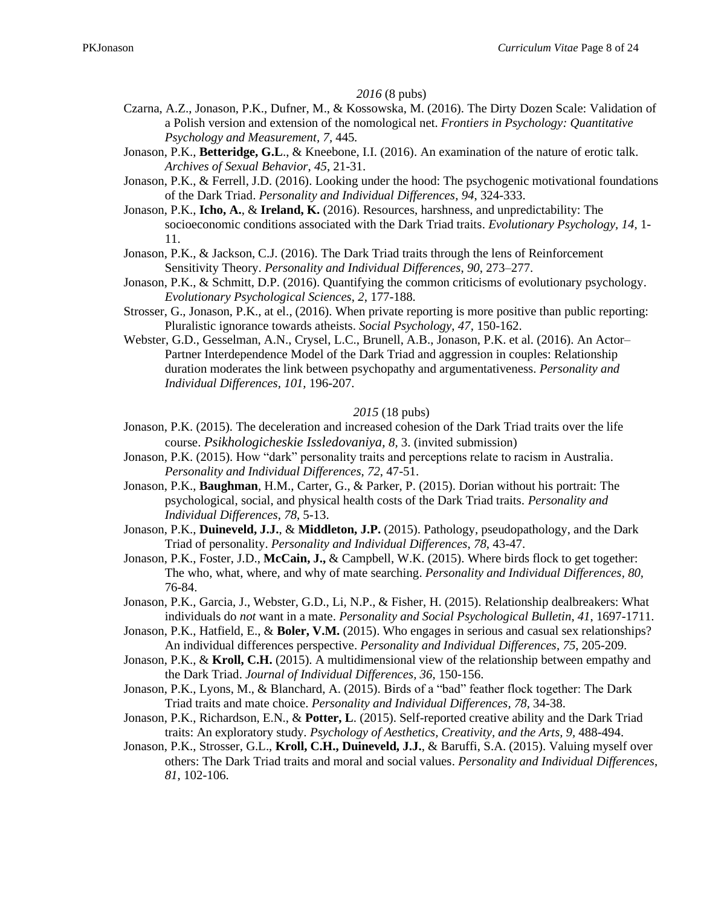#### *2016* (8 pubs)

- Czarna, A.Z., Jonason, P.K., Dufner, M., & Kossowska, M. (2016). The Dirty Dozen Scale: Validation of a Polish version and extension of the nomological net. *Frontiers in Psychology: Quantitative Psychology and Measurement, 7,* 445*.*
- Jonason, P.K., **Betteridge, G.L**., & Kneebone, I.I. (2016). An examination of the nature of erotic talk. *Archives of Sexual Behavior*, *45*, 21-31.
- Jonason, P.K., & Ferrell, J.D. (2016). Looking under the hood: The psychogenic motivational foundations of the Dark Triad. *Personality and Individual Differences*, *94*, 324-333.
- Jonason, P.K., **Icho, A.**, & **Ireland, K.** (2016). Resources, harshness, and unpredictability: The socioeconomic conditions associated with the Dark Triad traits. *Evolutionary Psychology, 14,* 1- 11.
- Jonason, P.K., & Jackson, C.J. (2016). The Dark Triad traits through the lens of Reinforcement Sensitivity Theory. *Personality and Individual Differences*, *90*, 273–277.
- Jonason, P.K., & Schmitt, D.P. (2016). Quantifying the common criticisms of evolutionary psychology. *Evolutionary Psychological Sciences*, *2*, 177-188.
- Strosser, G., Jonason, P.K., at el., (2016). When private reporting is more positive than public reporting: Pluralistic ignorance towards atheists. *Social Psychology*, *47,* 150-162.
- Webster, G.D., Gesselman, A.N., Crysel, L.C., Brunell, A.B., Jonason, P.K. et al. (2016). An Actor– Partner Interdependence Model of the Dark Triad and aggression in couples: Relationship duration moderates the link between psychopathy and argumentativeness. *Personality and Individual Differences, 101,* 196-207.

### *2015* (18 pubs)

- Jonason, P.K. (2015). The deceleration and increased cohesion of the Dark Triad traits over the life course. *Psikhologicheskie Issledovaniya, 8,* 3. (invited submission)
- Jonason, P.K. (2015). How "dark" personality traits and perceptions relate to racism in Australia. *Personality and Individual Differences*, *72*, 47-51.
- Jonason, P.K., **Baughman**, H.M., Carter, G., & Parker, P. (2015). Dorian without his portrait: The psychological, social, and physical health costs of the Dark Triad traits. *Personality and Individual Differences*, *78*, 5-13.
- Jonason, P.K., **Duineveld, J.J.**, & **Middleton, J.P.** (2015). Pathology, pseudopathology, and the Dark Triad of personality. *Personality and Individual Differences*, *78*, 43-47.
- Jonason, P.K., Foster, J.D., **McCain, J.,** & Campbell, W.K. (2015). Where birds flock to get together: The who, what, where, and why of mate searching. *Personality and Individual Differences, 80,*  76-84.
- Jonason, P.K., Garcia, J., Webster, G.D., Li, N.P., & Fisher, H. (2015). Relationship dealbreakers: What individuals do *not* want in a mate. *Personality and Social Psychological Bulletin*, *41*, 1697-1711.
- Jonason, P.K., Hatfield, E., & **Boler, V.M.** (2015). Who engages in serious and casual sex relationships? An individual differences perspective. *Personality and Individual Differences*, *75*, 205-209.
- Jonason, P.K., & **Kroll, C.H.** (2015). A multidimensional view of the relationship between empathy and the Dark Triad. *Journal of Individual Differences, 36*, 150-156.
- Jonason, P.K., Lyons, M., & Blanchard, A. (2015). Birds of a "bad" feather flock together: The Dark Triad traits and mate choice. *Personality and Individual Differences, 78,* 34-38.
- Jonason, P.K., Richardson, E.N., & **Potter, L**. (2015). Self-reported creative ability and the Dark Triad traits: An exploratory study. *Psychology of Aesthetics, Creativity, and the Arts, 9,* 488-494.
- Jonason, P.K., Strosser, G.L., **Kroll, C.H., Duineveld, J.J.**, & Baruffi, S.A. (2015). Valuing myself over others: The Dark Triad traits and moral and social values. *Personality and Individual Differences*, *81*, 102-106.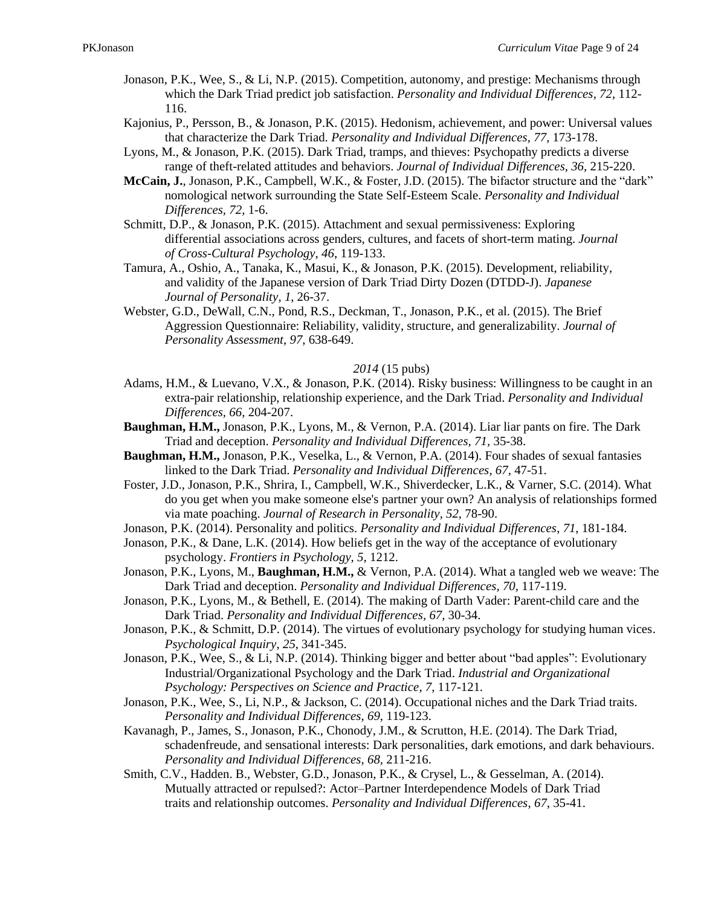- Jonason, P.K., Wee, S., & Li, N.P. (2015). Competition, autonomy, and prestige: Mechanisms through which the Dark Triad predict job satisfaction. *Personality and Individual Differences, 72*, 112- 116.
- Kajonius, P., Persson, B., & Jonason, P.K. (2015). Hedonism, achievement, and power: Universal values that characterize the Dark Triad. *Personality and Individual Differences, 77,* 173-178.
- Lyons, M., & Jonason, P.K. (2015). Dark Triad, tramps, and thieves: Psychopathy predicts a diverse range of theft-related attitudes and behaviors. *Journal of Individual Differences*, *36*, 215-220.
- **McCain, J.**, Jonason, P.K., Campbell, W.K., & Foster, J.D. (2015). The bifactor structure and the "dark" nomological network surrounding the State Self-Esteem Scale. *Personality and Individual Differences, 72,* 1-6.
- Schmitt, D.P., & Jonason, P.K. (2015). Attachment and sexual permissiveness: Exploring differential associations across genders, cultures, and facets of short-term mating. *Journal of Cross-Cultural Psychology*, *46*, 119-133.
- Tamura, A., Oshio, A., Tanaka, K., Masui, K., & Jonason, P.K. (2015). Development, reliability, and validity of the Japanese version of Dark Triad Dirty Dozen (DTDD-J). *Japanese Journal of Personality*, *1*, 26-37.
- Webster, G.D., DeWall, C.N., Pond, R.S., Deckman, T., Jonason, P.K., et al. (2015). The Brief Aggression Questionnaire: Reliability, validity, structure, and generalizability. *Journal of Personality Assessment*, *97*, 638-649.

### *2014* (15 pubs)

- Adams, H.M., & Luevano, V.X., & Jonason, P.K. (2014). Risky business: Willingness to be caught in an extra-pair relationship, relationship experience, and the Dark Triad. *Personality and Individual Differences, 66,* 204-207.
- **Baughman, H.M.,** Jonason, P.K., Lyons, M., & Vernon, P.A. (2014). Liar liar pants on fire. The Dark Triad and deception. *Personality and Individual Differences, 71,* 35-38.
- **Baughman, H.M.,** Jonason, P.K., Veselka, L., & Vernon, P.A. (2014). Four shades of sexual fantasies linked to the Dark Triad. *Personality and Individual Differences, 67,* 47-51.
- Foster, J.D., Jonason, P.K., Shrira, I., Campbell, W.K., Shiverdecker, L.K., & Varner, S.C. (2014). What do you get when you make someone else's partner your own? An analysis of relationships formed via mate poaching. *Journal of Research in Personality, 52,* 78-90.
- Jonason, P.K. (2014). Personality and politics. *Personality and Individual Differences*, *71*, 181-184.
- Jonason, P.K., & Dane, L.K. (2014). How beliefs get in the way of the acceptance of evolutionary psychology. *Frontiers in Psychology, 5*, 1212.
- Jonason, P.K., Lyons, M., **Baughman, H.M.,** & Vernon, P.A. (2014). What a tangled web we weave: The Dark Triad and deception. *Personality and Individual Differences, 70,* 117-119.
- Jonason, P.K., Lyons, M., & Bethell, E. (2014). The making of Darth Vader: Parent-child care and the Dark Triad. *Personality and Individual Differences, 67,* 30-34.
- Jonason, P.K., & Schmitt, D.P. (2014). The virtues of evolutionary psychology for studying human vices. *Psychological Inquiry*, *25*, 341-345.
- Jonason, P.K., Wee, S., & Li, N.P. (2014). Thinking bigger and better about "bad apples": Evolutionary Industrial/Organizational Psychology and the Dark Triad. *Industrial and Organizational Psychology: Perspectives on Science and Practice, 7,* 117-121*.*
- Jonason, P.K., Wee, S., Li, N.P., & Jackson, C. (2014). Occupational niches and the Dark Triad traits. *Personality and Individual Differences*, *69*, 119-123.
- Kavanagh, P., James, S., Jonason, P.K., Chonody, J.M., & Scrutton, H.E. (2014). The Dark Triad, schadenfreude, and sensational interests: Dark personalities, dark emotions, and dark behaviours. *Personality and Individual Differences, 68,* 211-216.
- Smith, C.V., Hadden. B., Webster, G.D., Jonason, P.K., & Crysel, L., & Gesselman, A. (2014). Mutually attracted or repulsed?: Actor–Partner Interdependence Models of Dark Triad traits and relationship outcomes. *Personality and Individual Differences*, *67*, 35-41.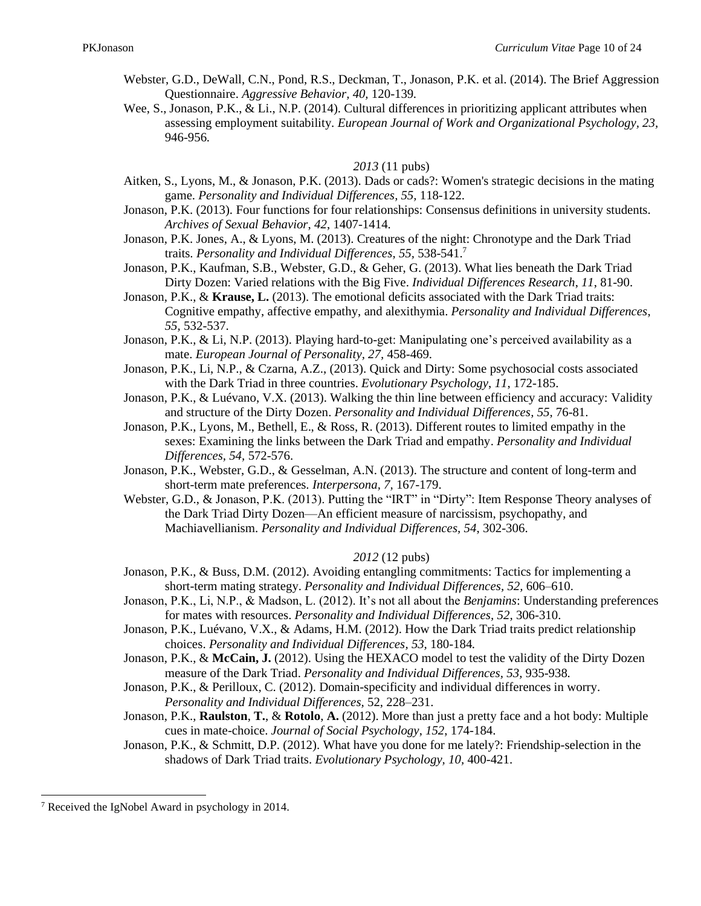- Webster, G.D., DeWall, C.N., Pond, R.S., Deckman, T., Jonason, P.K. et al. (2014). The Brief Aggression Questionnaire. *Aggressive Behavior, 40,* 120-139*.*
- Wee, S., Jonason, P.K., & Li., N.P. (2014). Cultural differences in prioritizing applicant attributes when assessing employment suitability. *European Journal of Work and Organizational Psychology, 23,*  946-956*.*

### *2013* (11 pubs)

- Aitken, S., Lyons, M., & Jonason, P.K. (2013). Dads or cads?: Women's strategic decisions in the mating game. *Personality and Individual Differences, 55,* 118-122.
- Jonason, P.K. (2013). Four functions for four relationships: Consensus definitions in university students. *Archives of Sexual Behavior*, *42*, 1407-1414.
- Jonason, P.K. Jones, A., & Lyons, M. (2013). Creatures of the night: Chronotype and the Dark Triad traits. *Personality and Individual Differences, 55,* 538-541.<sup>7</sup>
- Jonason, P.K., Kaufman, S.B., Webster, G.D., & Geher, G. (2013). What lies beneath the Dark Triad Dirty Dozen: Varied relations with the Big Five. *Individual Differences Research*, *11*, 81-90.
- Jonason, P.K., & **Krause, L.** (2013). The emotional deficits associated with the Dark Triad traits: Cognitive empathy, affective empathy, and alexithymia. *Personality and Individual Differences, 55,* 532-537.
- Jonason, P.K., & Li, N.P. (2013). Playing hard-to-get: Manipulating one's perceived availability as a mate. *European Journal of Personality, 27,* 458-469.
- Jonason, P.K., Li, N.P., & Czarna, A.Z., (2013). Quick and Dirty: Some psychosocial costs associated with the Dark Triad in three countries. *Evolutionary Psychology*, *11*, 172-185.
- Jonason, P.K., & Luévano, V.X. (2013). Walking the thin line between efficiency and accuracy: Validity and structure of the Dirty Dozen. *Personality and Individual Differences, 55,* 76-81.
- Jonason, P.K., Lyons, M., Bethell, E., & Ross, R. (2013). Different routes to limited empathy in the sexes: Examining the links between the Dark Triad and empathy. *Personality and Individual Differences, 54,* 572-576.
- Jonason, P.K., Webster, G.D., & Gesselman, A.N. (2013). The structure and content of long-term and short-term mate preferences. *Interpersona, 7,* 167-179.
- Webster, G.D., & Jonason, P.K. (2013). Putting the "IRT" in "Dirty": Item Response Theory analyses of the Dark Triad Dirty Dozen—An efficient measure of narcissism, psychopathy, and Machiavellianism. *Personality and Individual Differences, 54*, 302-306.

### *2012* (12 pubs)

- Jonason, P.K., & Buss, D.M. (2012). Avoiding entangling commitments: Tactics for implementing a short-term mating strategy. *Personality and Individual Differences, 52,* 606–610.
- Jonason, P.K., Li, N.P., & Madson, L. (2012). It's not all about the *Benjamins*: Understanding preferences for mates with resources. *Personality and Individual Differences, 52,* 306-310.
- Jonason, P.K., Luévano, V.X., & Adams, H.M. (2012). How the Dark Triad traits predict relationship choices. *Personality and Individual Differences, 53,* 180-184*.*
- Jonason, P.K., & **McCain, J.** (2012). Using the HEXACO model to test the validity of the Dirty Dozen measure of the Dark Triad. *Personality and Individual Differences, 53,* 935-938*.*
- Jonason, P.K., & Perilloux, C. (2012). Domain-specificity and individual differences in worry. *Personality and Individual Differences,* 52, 228–231.
- Jonason, P.K., **Raulston**, **T.**, & **Rotolo**, **A.** (2012). More than just a pretty face and a hot body: Multiple cues in mate-choice. *Journal of Social Psychology*, *152*, 174-184.
- Jonason, P.K., & Schmitt, D.P. (2012). What have you done for me lately?: Friendship-selection in the shadows of Dark Triad traits. *Evolutionary Psychology, 10,* 400-421.

<sup>7</sup> Received the IgNobel Award in psychology in 2014.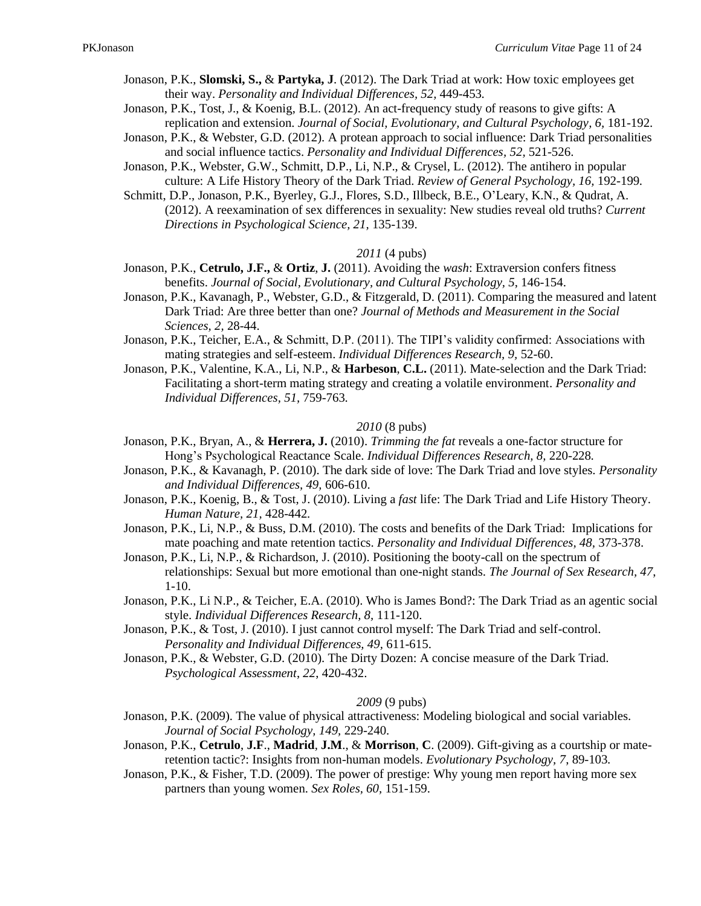- Jonason, P.K., **Slomski, S.,** & **Partyka, J**. (2012). The Dark Triad at work: How toxic employees get their way. *Personality and Individual Differences, 52,* 449-453*.*
- Jonason, P.K., Tost, J., & Koenig, B.L. (2012). An act-frequency study of reasons to give gifts: A replication and extension. *Journal of Social, Evolutionary, and Cultural Psychology, 6,* 181-192.
- Jonason, P.K., & Webster, G.D. (2012). A protean approach to social influence: Dark Triad personalities and social influence tactics. *Personality and Individual Differences, 52,* 521-526.
- Jonason, P.K., Webster, G.W., Schmitt, D.P., Li, N.P., & Crysel, L. (2012). The antihero in popular culture: A Life History Theory of the Dark Triad. *Review of General Psychology, 16,* 192-199*.*
- Schmitt, D.P., Jonason, P.K., Byerley, G.J., Flores, S.D., Illbeck, B.E., O'Leary, K.N., & Qudrat, A. (2012). A reexamination of sex differences in sexuality: New studies reveal old truths? *Current Directions in Psychological Science, 21,* 135-139.

### *2011* (4 pubs)

- Jonason, P.K., **Cetrulo, J.F.,** & **Ortiz**, **J.** (2011). Avoiding the *wash*: Extraversion confers fitness benefits. *Journal of Social, Evolutionary, and Cultural Psychology, 5*, 146-154.
- Jonason, P.K., Kavanagh, P., Webster, G.D., & Fitzgerald, D. (2011). Comparing the measured and latent Dark Triad: Are three better than one? *Journal of Methods and Measurement in the Social Sciences, 2,* 28-44.
- Jonason, P.K., Teicher, E.A., & Schmitt, D.P. (2011). The TIPI's validity confirmed: Associations with mating strategies and self-esteem. *Individual Differences Research, 9,* 52-60.
- Jonason, P.K., Valentine, K.A., Li, N.P., & **Harbeson**, **C.L.** (2011). Mate-selection and the Dark Triad: Facilitating a short-term mating strategy and creating a volatile environment. *Personality and Individual Differences, 51,* 759-763*.*

### *2010* (8 pubs)

- Jonason, P.K., Bryan, A., & **Herrera, J.** (2010). *Trimming the fat* reveals a one-factor structure for Hong's Psychological Reactance Scale. *Individual Differences Research, 8,* 220-228*.*
- Jonason, P.K., & Kavanagh, P. (2010). The dark side of love: The Dark Triad and love styles. *Personality and Individual Differences, 49,* 606-610.
- Jonason, P.K., Koenig, B., & Tost, J. (2010). Living a *fast* life: The Dark Triad and Life History Theory. *Human Nature, 21,* 428-442*.*
- Jonason, P.K., Li, N.P., & Buss, D.M. (2010). The costs and benefits of the Dark Triad: Implications for mate poaching and mate retention tactics. *Personality and Individual Differences, 48,* 373-378.
- Jonason, P.K., Li, N.P., & Richardson, J. (2010). Positioning the booty-call on the spectrum of relationships: Sexual but more emotional than one-night stands. *The Journal of Sex Research, 47*, 1-10.
- Jonason, P.K., Li N.P., & Teicher, E.A. (2010). Who is James Bond?: The Dark Triad as an agentic social style. *Individual Differences Research, 8,* 111-120.
- Jonason, P.K., & Tost, J. (2010). I just cannot control myself: The Dark Triad and self-control. *Personality and Individual Differences, 49,* 611-615.
- Jonason, P.K., & Webster, G.D. (2010). The Dirty Dozen: A concise measure of the Dark Triad. *Psychological Assessment*, *22*, 420-432.

#### *2009* (9 pubs)

- Jonason, P.K. (2009). The value of physical attractiveness: Modeling biological and social variables. *Journal of Social Psychology, 149,* 229-240.
- Jonason, P.K., **Cetrulo**, **J.F**., **Madrid**, **J.M**., & **Morrison**, **C**. (2009). Gift-giving as a courtship or materetention tactic?: Insights from non-human models. *Evolutionary Psychology, 7*, 89-103*.*
- Jonason, P.K., & Fisher, T.D. (2009). The power of prestige: Why young men report having more sex partners than young women. *Sex Roles, 60,* 151-159.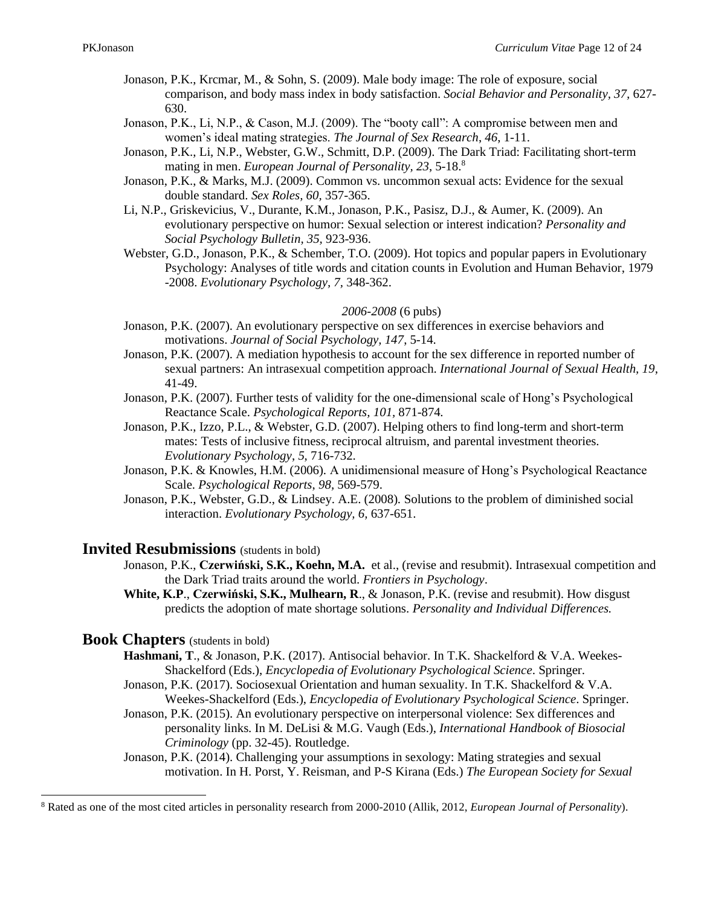- Jonason, P.K., Krcmar, M., & Sohn, S. (2009). Male body image: The role of exposure, social comparison, and body mass index in body satisfaction. *Social Behavior and Personality, 37,* 627- 630.
- Jonason, P.K., Li, N.P., & Cason, M.J. (2009). The "booty call": A compromise between men and women's ideal mating strategies. *The Journal of Sex Research*, *46*, 1-11.
- Jonason, P.K., Li, N.P., Webster, G.W., Schmitt, D.P. (2009). The Dark Triad: Facilitating short-term mating in men. *European Journal of Personality, 23*, 5-18.<sup>8</sup>
- Jonason, P.K., & Marks, M.J. (2009). Common vs. uncommon sexual acts: Evidence for the sexual double standard. *Sex Roles, 60,* 357-365.
- Li, N.P., Griskevicius, V., Durante, K.M., Jonason, P.K., Pasisz, D.J., & Aumer, K. (2009). An evolutionary perspective on humor: Sexual selection or interest indication? *Personality and Social Psychology Bulletin, 35,* 923-936.
- Webster, G.D., Jonason, P.K., & Schember, T.O. (2009). Hot topics and popular papers in Evolutionary Psychology: Analyses of title words and citation counts in Evolution and Human Behavior, 1979 -2008. *Evolutionary Psychology, 7,* 348-362.

### *2006-2008* (6 pubs)

- Jonason, P.K. (2007). An evolutionary perspective on sex differences in exercise behaviors and motivations. *Journal of Social Psychology, 147*, 5-14.
- Jonason, P.K. (2007). A mediation hypothesis to account for the sex difference in reported number of sexual partners: An intrasexual competition approach. *International Journal of Sexual Health, 19*, 41-49.
- Jonason, P.K. (2007). Further tests of validity for the one-dimensional scale of Hong's Psychological Reactance Scale. *Psychological Reports, 101,* 871-874*.*
- Jonason, P.K., Izzo, P.L., & Webster, G.D. (2007). Helping others to find long-term and short-term mates: Tests of inclusive fitness, reciprocal altruism, and parental investment theories. *Evolutionary Psychology*, *5*, 716-732.
- Jonason, P.K. & Knowles, H.M. (2006)*.* A unidimensional measure of Hong's Psychological Reactance Scale. *Psychological Reports*, *98,* 569-579.
- Jonason, P.K., Webster, G.D., & Lindsey. A.E. (2008)*.* Solutions to the problem of diminished social interaction. *Evolutionary Psychology, 6,* 637-651.

### **Invited Resubmissions** (students in bold)

- Jonason, P.K., **Czerwiński, S.K., Koehn, M.A.** et al., (revise and resubmit). Intrasexual competition and the Dark Triad traits around the world. *Frontiers in Psychology*.
- **White, K.P**., **Czerwiński, S.K., Mulhearn, R**., & Jonason, P.K. (revise and resubmit). How disgust predicts the adoption of mate shortage solutions. *Personality and Individual Differences.*

### **Book Chapters** (students in bold)

- **Hashmani, T**., & Jonason, P.K. (2017). Antisocial behavior. In T.K. Shackelford & V.A. Weekes-Shackelford (Eds.), *Encyclopedia of Evolutionary Psychological Science*. Springer.
- Jonason, P.K. (2017). Sociosexual Orientation and human sexuality. In T.K. Shackelford & V.A. Weekes-Shackelford (Eds.), *Encyclopedia of Evolutionary Psychological Science*. Springer.
- Jonason, P.K. (2015). An evolutionary perspective on interpersonal violence: Sex differences and personality links. In M. DeLisi & M.G. Vaugh (Eds.), *International Handbook of Biosocial Criminology* (pp. 32-45). Routledge.
- Jonason, P.K. (2014). Challenging your assumptions in sexology: Mating strategies and sexual motivation. In H. Porst, Y. Reisman, and P-S Kirana (Eds.) *The European Society for Sexual*

<sup>8</sup> Rated as one of the most cited articles in personality research from 2000-2010 (Allik, 2012, *European Journal of Personality*).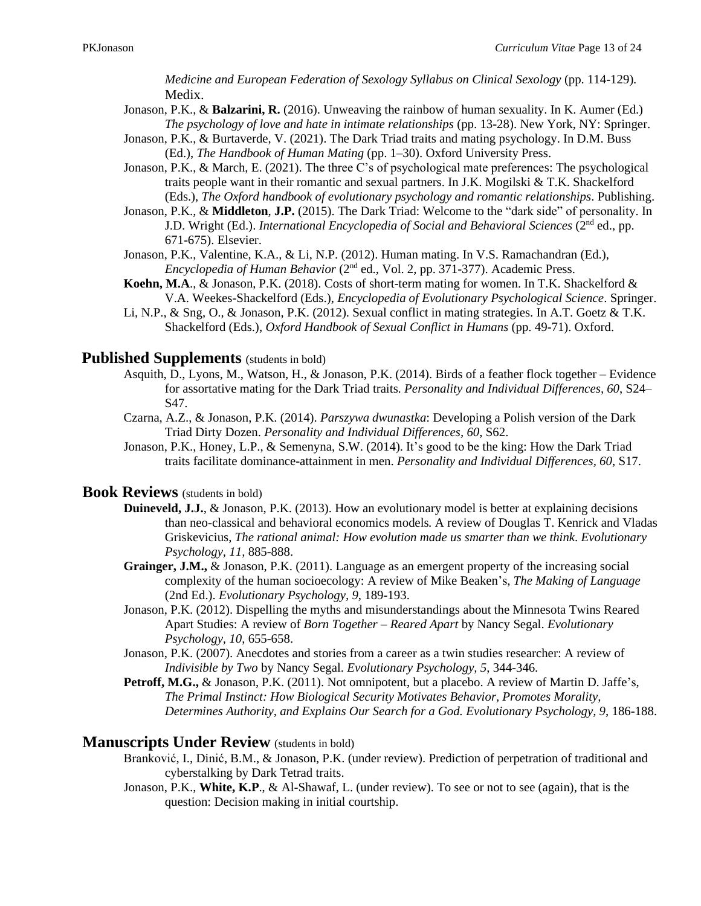*Medicine and European Federation of Sexology Syllabus on Clinical Sexology* (pp. 114-129)*.* Medix.

- Jonason, P.K., & **Balzarini, R.** (2016). Unweaving the rainbow of human sexuality. In K. Aumer (Ed.) *The psychology of love and hate in intimate relationships* (pp. 13-28). New York, NY: Springer.
- Jonason, P.K., & Burtaverde, V. (2021). The Dark Triad traits and mating psychology. In D.M. Buss (Ed.), *The Handbook of Human Mating* (pp. 1–30). Oxford University Press.
- Jonason, P.K., & March, E. (2021). The three C's of psychological mate preferences: The psychological traits people want in their romantic and sexual partners. In J.K. Mogilski & T.K. Shackelford (Eds.), *The Oxford handbook of evolutionary psychology and romantic relationships*. Publishing.
- Jonason, P.K., & **Middleton**, **J.P.** (2015). The Dark Triad: Welcome to the "dark side" of personality. In J.D. Wright (Ed.). *International Encyclopedia of Social and Behavioral Sciences* (2nd ed., pp. 671-675). Elsevier.
- Jonason, P.K., Valentine, K.A., & Li, N.P. (2012). Human mating. In V.S. Ramachandran (Ed.), *Encyclopedia of Human Behavior* (2<sup>nd</sup> ed., Vol. 2, pp. 371-377). Academic Press.
- **Koehn, M.A**., & Jonason, P.K. (2018). Costs of short-term mating for women. In T.K. Shackelford & V.A. Weekes-Shackelford (Eds.), *Encyclopedia of Evolutionary Psychological Science*. Springer.
- Li, N.P., & Sng, O., & Jonason, P.K. (2012). Sexual conflict in mating strategies. In A.T. Goetz & T.K. Shackelford (Eds.), *Oxford Handbook of Sexual Conflict in Humans* (pp. 49-71). Oxford.

### **Published Supplements** (students in bold)

- Asquith, D., Lyons, M., Watson, H., & Jonason, P.K. (2014). Birds of a feather flock together Evidence for assortative mating for the Dark Triad traits. *Personality and Individual Differences, 60*, S24– S47.
- Czarna, A.Z., & Jonason, P.K. (2014). *Parszywa dwunastka*: Developing a Polish version of the Dark Triad Dirty Dozen. *Personality and Individual Differences, 60*, S62.
- Jonason, P.K., Honey, L.P., & Semenyna, S.W. (2014). It's good to be the king: How the Dark Triad traits facilitate dominance-attainment in men. *Personality and Individual Differences, 60*, S17.

### **Book Reviews** (students in bold)

- **Duineveld, J.J.**, & Jonason, P.K. (2013). How an evolutionary model is better at explaining decisions than neo-classical and behavioral economics models*.* A review of Douglas T. Kenrick and Vladas Griskevicius, *The rational animal: How evolution made us smarter than we think*. *Evolutionary Psychology, 11,* 885-888.
- Grainger, J.M., & Jonason, P.K. (2011). Language as an emergent property of the increasing social complexity of the human socioecology: A review of Mike Beaken's, *The Making of Language* (2nd Ed.). *Evolutionary Psychology, 9*, 189-193.
- Jonason, P.K. (2012). Dispelling the myths and misunderstandings about the Minnesota Twins Reared Apart Studies: A review of *Born Together – Reared Apart* by Nancy Segal. *Evolutionary Psychology, 10*, 655-658.
- Jonason, P.K. (2007). Anecdotes and stories from a career as a twin studies researcher: A review of *Indivisible by Two* by Nancy Segal. *Evolutionary Psychology, 5*, 344-346.
- **Petroff, M.G.,** & Jonason, P.K. (2011). Not omnipotent, but a placebo. A review of Martin D. Jaffe's, *The Primal Instinct: How Biological Security Motivates Behavior, Promotes Morality, Determines Authority, and Explains Our Search for a God. Evolutionary Psychology, 9*, 186-188.

### **Manuscripts Under Review** (students in bold)

- Branković, I., Dinić, B.M., & Jonason, P.K. (under review). Prediction of perpetration of traditional and cyberstalking by Dark Tetrad traits.
- Jonason, P.K., **White, K.P**., & Al-Shawaf, L. (under review). To see or not to see (again), that is the question: Decision making in initial courtship.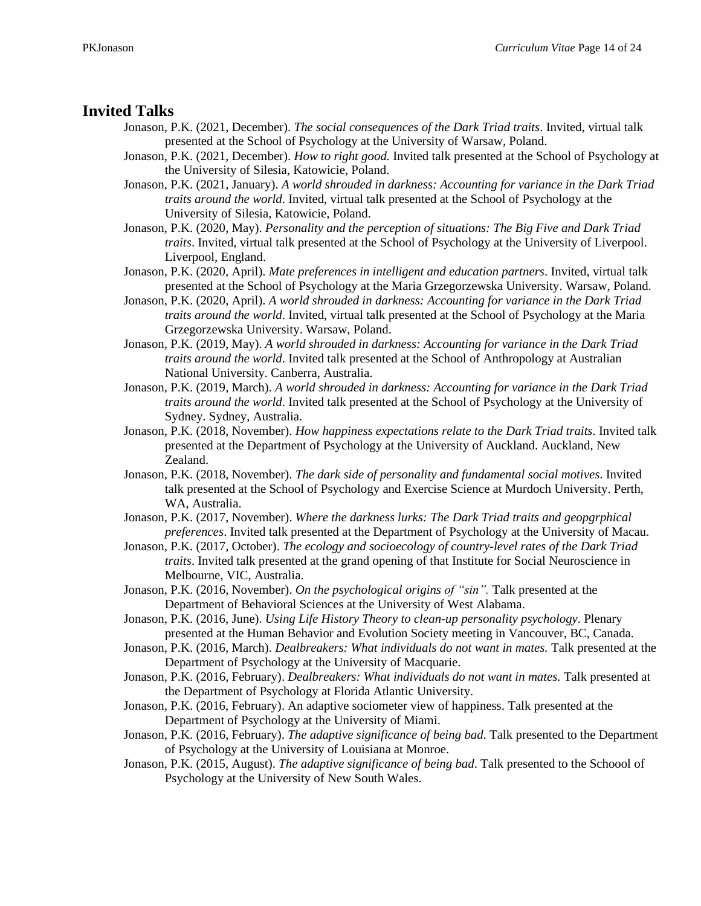### **Invited Talks**

- Jonason, P.K. (2021, December). *The social consequences of the Dark Triad traits*. Invited, virtual talk presented at the School of Psychology at the University of Warsaw, Poland.
- Jonason, P.K. (2021, December). *How to right good.* Invited talk presented at the School of Psychology at the University of Silesia, Katowicie, Poland.
- Jonason, P.K. (2021, January). *A world shrouded in darkness: Accounting for variance in the Dark Triad traits around the world*. Invited, virtual talk presented at the School of Psychology at the University of Silesia, Katowicie, Poland.
- Jonason, P.K. (2020, May). *Personality and the perception of situations: The Big Five and Dark Triad traits*. Invited, virtual talk presented at the School of Psychology at the University of Liverpool. Liverpool, England.
- Jonason, P.K. (2020, April). *Mate preferences in intelligent and education partners*. Invited, virtual talk presented at the School of Psychology at the Maria Grzegorzewska University. Warsaw, Poland.
- Jonason, P.K. (2020, April). *A world shrouded in darkness: Accounting for variance in the Dark Triad traits around the world*. Invited, virtual talk presented at the School of Psychology at the Maria Grzegorzewska University. Warsaw, Poland.
- Jonason, P.K. (2019, May). *A world shrouded in darkness: Accounting for variance in the Dark Triad traits around the world*. Invited talk presented at the School of Anthropology at Australian National University. Canberra, Australia.
- Jonason, P.K. (2019, March). *A world shrouded in darkness: Accounting for variance in the Dark Triad traits around the world*. Invited talk presented at the School of Psychology at the University of Sydney. Sydney, Australia.
- Jonason, P.K. (2018, November). *How happiness expectations relate to the Dark Triad traits*. Invited talk presented at the Department of Psychology at the University of Auckland. Auckland, New Zealand.
- Jonason, P.K. (2018, November). *The dark side of personality and fundamental social motives*. Invited talk presented at the School of Psychology and Exercise Science at Murdoch University. Perth, WA, Australia.
- Jonason, P.K. (2017, November). *Where the darkness lurks: The Dark Triad traits and geopgrphical preferences*. Invited talk presented at the Department of Psychology at the University of Macau.
- Jonason, P.K. (2017, October). *The ecology and socioecology of country-level rates of the Dark Triad traits*. Invited talk presented at the grand opening of that Institute for Social Neuroscience in Melbourne, VIC, Australia.
- Jonason, P.K. (2016, November). *On the psychological origins of "sin".* Talk presented at the Department of Behavioral Sciences at the University of West Alabama.
- Jonason, P.K. (2016, June). *Using Life History Theory to clean-up personality psychology*. Plenary presented at the Human Behavior and Evolution Society meeting in Vancouver, BC, Canada.
- Jonason, P.K. (2016, March). *Dealbreakers: What individuals do not want in mates.* Talk presented at the Department of Psychology at the University of Macquarie.
- Jonason, P.K. (2016, February). *Dealbreakers: What individuals do not want in mates.* Talk presented at the Department of Psychology at Florida Atlantic University.
- Jonason, P.K. (2016, February). An adaptive sociometer view of happiness. Talk presented at the Department of Psychology at the University of Miami.
- Jonason, P.K. (2016, February). *The adaptive significance of being bad*. Talk presented to the Department of Psychology at the University of Louisiana at Monroe.
- Jonason, P.K. (2015, August). *The adaptive significance of being bad*. Talk presented to the Schoool of Psychology at the University of New South Wales.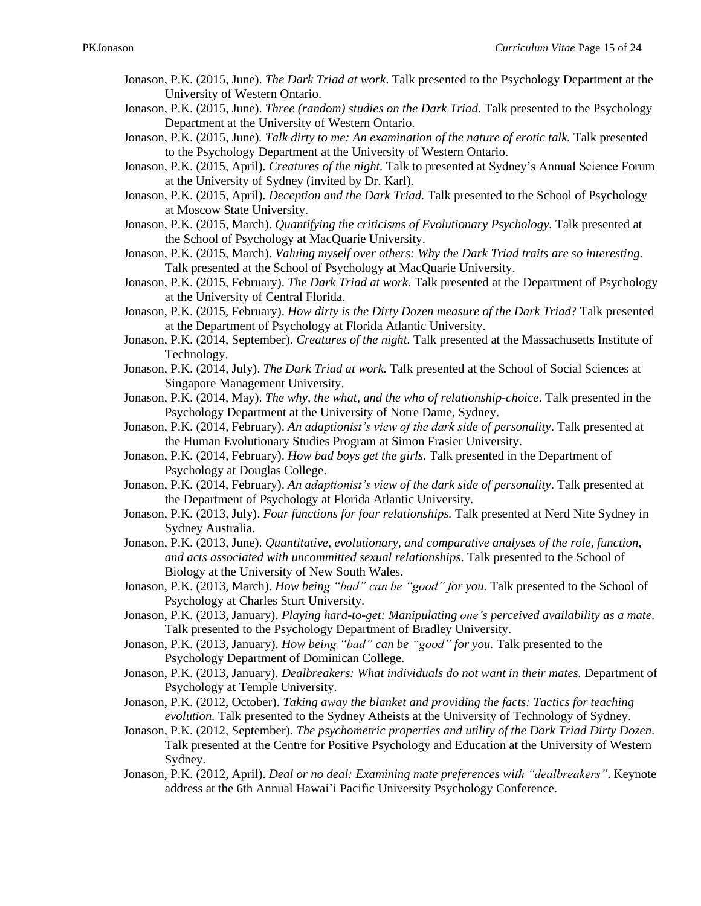- Jonason, P.K. (2015, June). *The Dark Triad at work*. Talk presented to the Psychology Department at the University of Western Ontario.
- Jonason, P.K. (2015, June). *Three (random) studies on the Dark Triad*. Talk presented to the Psychology Department at the University of Western Ontario.
- Jonason, P.K. (2015, June)*. Talk dirty to me: An examination of the nature of erotic talk.* Talk presented to the Psychology Department at the University of Western Ontario.
- Jonason, P.K. (2015, April). *Creatures of the night.* Talk to presented at Sydney's Annual Science Forum at the University of Sydney (invited by Dr. Karl).
- Jonason, P.K. (2015, April). *Deception and the Dark Triad.* Talk presented to the School of Psychology at Moscow State University.
- Jonason, P.K. (2015, March). *Quantifying the criticisms of Evolutionary Psychology.* Talk presented at the School of Psychology at MacQuarie University.
- Jonason, P.K. (2015, March). *Valuing myself over others: Why the Dark Triad traits are so interesting.* Talk presented at the School of Psychology at MacQuarie University.
- Jonason, P.K. (2015, February). *The Dark Triad at work.* Talk presented at the Department of Psychology at the University of Central Florida.
- Jonason, P.K. (2015, February). *How dirty is the Dirty Dozen measure of the Dark Triad*? Talk presented at the Department of Psychology at Florida Atlantic University.
- Jonason, P.K. (2014, September). *Creatures of the night.* Talk presented at the Massachusetts Institute of Technology.
- Jonason, P.K. (2014, July). *The Dark Triad at work.* Talk presented at the School of Social Sciences at Singapore Management University.
- Jonason, P.K. (2014, May). *The why, the what, and the who of relationship-choice*. Talk presented in the Psychology Department at the University of Notre Dame, Sydney.
- Jonason, P.K. (2014, February). *An adaptionist's view of the dark side of personality*. Talk presented at the Human Evolutionary Studies Program at Simon Frasier University.
- Jonason, P.K. (2014, February). *How bad boys get the girls*. Talk presented in the Department of Psychology at Douglas College.
- Jonason, P.K. (2014, February). *An adaptionist's view of the dark side of personality*. Talk presented at the Department of Psychology at Florida Atlantic University.
- Jonason, P.K. (2013, July). *Four functions for four relationships.* Talk presented at Nerd Nite Sydney in Sydney Australia.
- Jonason, P.K. (2013, June). *Quantitative, evolutionary, and comparative analyses of the role, function, and acts associated with uncommitted sexual relationships*. Talk presented to the School of Biology at the University of New South Wales.
- Jonason, P.K. (2013, March). *How being "bad" can be "good" for you.* Talk presented to the School of Psychology at Charles Sturt University.
- Jonason, P.K. (2013, January). *Playing hard-to-get: Manipulating one's perceived availability as a mate*. Talk presented to the Psychology Department of Bradley University.
- Jonason, P.K. (2013, January). *How being "bad" can be "good" for you.* Talk presented to the Psychology Department of Dominican College.
- Jonason, P.K. (2013, January). *Dealbreakers: What individuals do not want in their mates.* Department of Psychology at Temple University.
- Jonason, P.K. (2012, October). *Taking away the blanket and providing the facts: Tactics for teaching evolution.* Talk presented to the Sydney Atheists at the University of Technology of Sydney.
- Jonason, P.K. (2012, September). *The psychometric properties and utility of the Dark Triad Dirty Dozen*. Talk presented at the Centre for Positive Psychology and Education at the University of Western Sydney.
- Jonason, P.K. (2012, April). *Deal or no deal: Examining mate preferences with "dealbreakers"*. Keynote address at the 6th Annual Hawai'i Pacific University Psychology Conference.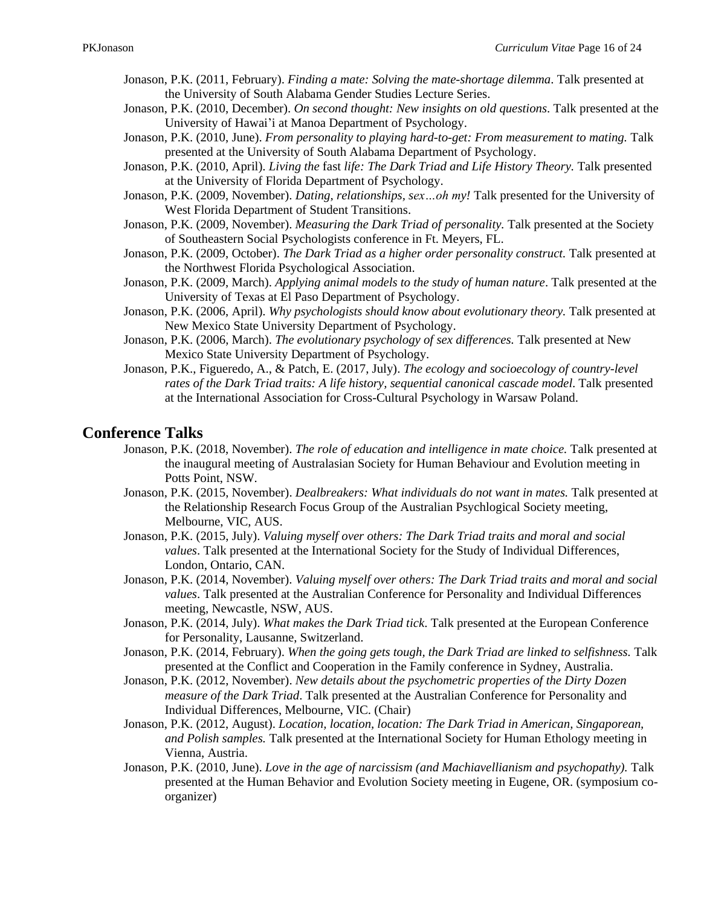- Jonason, P.K. (2011, February). *Finding a mate: Solving the mate-shortage dilemma*. Talk presented at the University of South Alabama Gender Studies Lecture Series.
- Jonason, P.K. (2010, December). *On second thought: New insights on old questions*. Talk presented at the University of Hawai'i at Manoa Department of Psychology.
- Jonason, P.K. (2010, June). *From personality to playing hard-to-get: From measurement to mating.* Talk presented at the University of South Alabama Department of Psychology.
- Jonason, P.K. (2010, April). *Living the* fast *life: The Dark Triad and Life History Theory.* Talk presented at the University of Florida Department of Psychology.
- Jonason, P.K. (2009, November). *Dating, relationships, sex…oh my!* Talk presented for the University of West Florida Department of Student Transitions.
- Jonason, P.K. (2009, November). *Measuring the Dark Triad of personality.* Talk presented at the Society of Southeastern Social Psychologists conference in Ft. Meyers, FL.
- Jonason, P.K. (2009, October). *The Dark Triad as a higher order personality construct.* Talk presented at the Northwest Florida Psychological Association.
- Jonason, P.K. (2009, March). *Applying animal models to the study of human nature*. Talk presented at the University of Texas at El Paso Department of Psychology.
- Jonason, P.K. (2006, April). *Why psychologists should know about evolutionary theory.* Talk presented at New Mexico State University Department of Psychology.
- Jonason, P.K. (2006, March). *The evolutionary psychology of sex differences.* Talk presented at New Mexico State University Department of Psychology.
- Jonason, P.K., Figueredo, A., & Patch, E. (2017, July). *The ecology and socioecology of country-level rates of the Dark Triad traits: A life history, sequential canonical cascade model*. Talk presented at the International Association for Cross-Cultural Psychology in Warsaw Poland.

### **Conference Talks**

- Jonason, P.K. (2018, November). *The role of education and intelligence in mate choice.* Talk presented at the inaugural meeting of Australasian Society for Human Behaviour and Evolution meeting in Potts Point, NSW.
- Jonason, P.K. (2015, November). *Dealbreakers: What individuals do not want in mates.* Talk presented at the Relationship Research Focus Group of the Australian Psychlogical Society meeting, Melbourne, VIC, AUS.
- Jonason, P.K. (2015, July). *Valuing myself over others: The Dark Triad traits and moral and social values*. Talk presented at the International Society for the Study of Individual Differences, London, Ontario, CAN.
- Jonason, P.K. (2014, November). *Valuing myself over others: The Dark Triad traits and moral and social values*. Talk presented at the Australian Conference for Personality and Individual Differences meeting, Newcastle, NSW, AUS.
- Jonason, P.K. (2014, July). *What makes the Dark Triad tick*. Talk presented at the European Conference for Personality, Lausanne, Switzerland.
- Jonason, P.K. (2014, February). *When the going gets tough, the Dark Triad are linked to selfishness.* Talk presented at the Conflict and Cooperation in the Family conference in Sydney, Australia.
- Jonason, P.K. (2012, November). *New details about the psychometric properties of the Dirty Dozen measure of the Dark Triad*. Talk presented at the Australian Conference for Personality and Individual Differences, Melbourne, VIC. (Chair)
- Jonason, P.K. (2012, August). *Location, location, location: The Dark Triad in American, Singaporean, and Polish samples.* Talk presented at the International Society for Human Ethology meeting in Vienna, Austria.
- Jonason, P.K. (2010, June). *Love in the age of narcissism (and Machiavellianism and psychopathy).* Talk presented at the Human Behavior and Evolution Society meeting in Eugene, OR. (symposium coorganizer)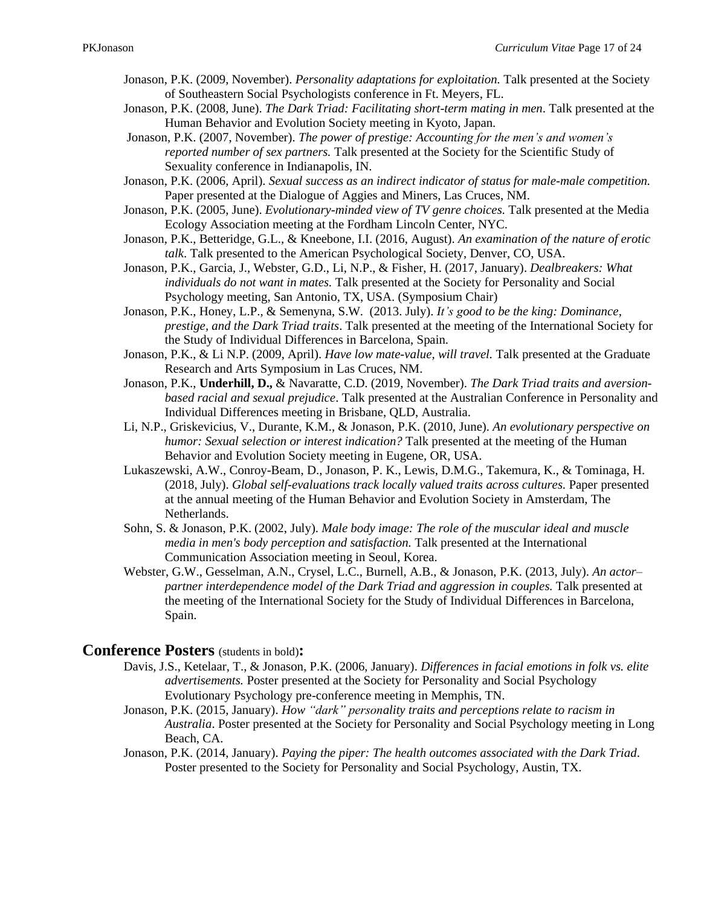- Jonason, P.K. (2009, November). *Personality adaptations for exploitation.* Talk presented at the Society of Southeastern Social Psychologists conference in Ft. Meyers, FL.
- Jonason, P.K. (2008, June). *The Dark Triad: Facilitating short-term mating in men*. Talk presented at the Human Behavior and Evolution Society meeting in Kyoto, Japan.
- Jonason, P.K. (2007, November). *The power of prestige: Accounting for the men's and women's reported number of sex partners.* Talk presented at the Society for the Scientific Study of Sexuality conference in Indianapolis, IN.
- Jonason, P.K. (2006, April). *Sexual success as an indirect indicator of status for male-male competition.* Paper presented at the Dialogue of Aggies and Miners, Las Cruces, NM.
- Jonason, P.K. (2005, June). *Evolutionary-minded view of TV genre choices.* Talk presented at the Media Ecology Association meeting at the Fordham Lincoln Center, NYC.
- Jonason, P.K., Betteridge, G.L., & Kneebone, I.I. (2016, August). *An examination of the nature of erotic talk*. Talk presented to the American Psychological Society, Denver, CO, USA.
- Jonason, P.K., Garcia, J., Webster, G.D., Li, N.P., & Fisher, H. (2017, January). *Dealbreakers: What individuals do not want in mates.* Talk presented at the Society for Personality and Social Psychology meeting, San Antonio, TX, USA. (Symposium Chair)
- Jonason, P.K., Honey, L.P., & Semenyna, S.W. (2013. July). *It's good to be the king: Dominance, prestige, and the Dark Triad traits*. Talk presented at the meeting of the International Society for the Study of Individual Differences in Barcelona, Spain.
- Jonason, P.K., & Li N.P. (2009, April). *Have low mate-value, will travel.* Talk presented at the Graduate Research and Arts Symposium in Las Cruces, NM.
- Jonason, P.K., **Underhill, D.,** & Navaratte, C.D. (2019, November). *The Dark Triad traits and aversionbased racial and sexual prejudice*. Talk presented at the Australian Conference in Personality and Individual Differences meeting in Brisbane, QLD, Australia.
- Li, N.P., Griskevicius, V., Durante, K.M., & Jonason, P.K. (2010, June). *An evolutionary perspective on humor: Sexual selection or interest indication?* Talk presented at the meeting of the Human Behavior and Evolution Society meeting in Eugene, OR, USA.
- Lukaszewski, A.W., Conroy-Beam, D., Jonason, P. K., Lewis, D.M.G., Takemura, K., & Tominaga, H. (2018, July). *Global self-evaluations track locally valued traits across cultures.* Paper presented at the annual meeting of the Human Behavior and Evolution Society in Amsterdam, The Netherlands.
- Sohn, S. & Jonason, P.K. (2002, July). *Male body image: The role of the muscular ideal and muscle media in men's body perception and satisfaction.* Talk presented at the International Communication Association meeting in Seoul, Korea.
- Webster, G.W., Gesselman, A.N., Crysel, L.C., Burnell, A.B., & Jonason, P.K. (2013, July). *An actor– partner interdependence model of the Dark Triad and aggression in couples.* Talk presented at the meeting of the International Society for the Study of Individual Differences in Barcelona, Spain.

### **Conference Posters** (students in bold)**:**

- Davis, J.S., Ketelaar, T., & Jonason, P.K. (2006, January). *Differences in facial emotions in folk vs. elite advertisements.* Poster presented at the Society for Personality and Social Psychology Evolutionary Psychology pre-conference meeting in Memphis, TN.
- Jonason, P.K. (2015, January). *How "dark" personality traits and perceptions relate to racism in Australia*. Poster presented at the Society for Personality and Social Psychology meeting in Long Beach, CA.
- Jonason, P.K. (2014, January). *Paying the piper: The health outcomes associated with the Dark Triad*. Poster presented to the Society for Personality and Social Psychology, Austin, TX.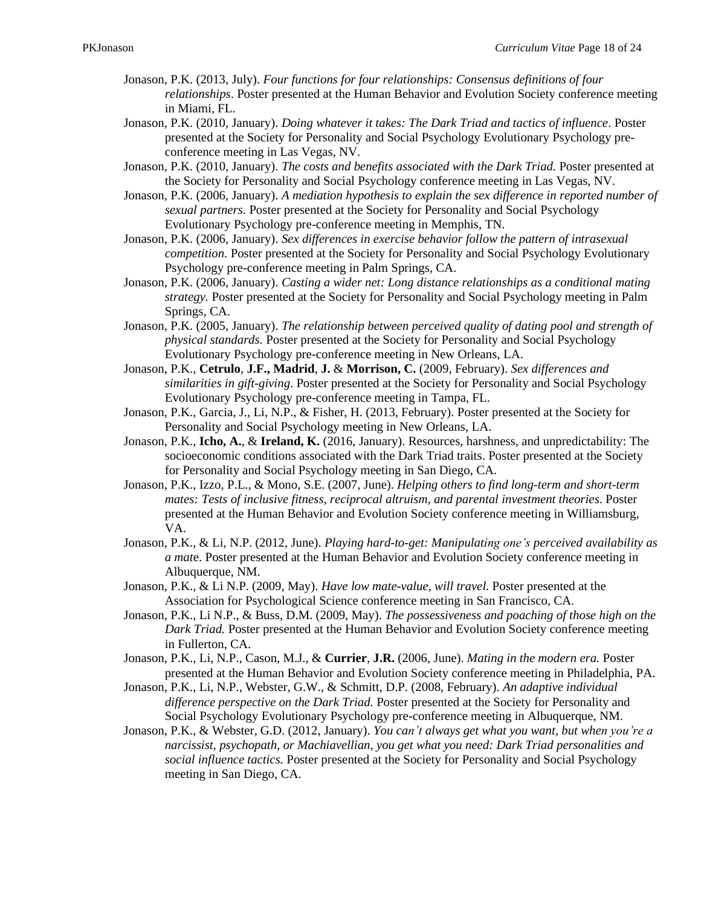- Jonason, P.K. (2013, July). *Four functions for four relationships: Consensus definitions of four relationships*. Poster presented at the Human Behavior and Evolution Society conference meeting in Miami, FL.
- Jonason, P.K. (2010, January). *Doing whatever it takes: The Dark Triad and tactics of influence*. Poster presented at the Society for Personality and Social Psychology Evolutionary Psychology preconference meeting in Las Vegas, NV.
- Jonason, P.K. (2010, January). *The costs and benefits associated with the Dark Triad.* Poster presented at the Society for Personality and Social Psychology conference meeting in Las Vegas, NV.
- Jonason, P.K. (2006, January). *A mediation hypothesis to explain the sex difference in reported number of sexual partners.* Poster presented at the Society for Personality and Social Psychology Evolutionary Psychology pre-conference meeting in Memphis, TN.
- Jonason, P.K. (2006, January). *Sex differences in exercise behavior follow the pattern of intrasexual competition.* Poster presented at the Society for Personality and Social Psychology Evolutionary Psychology pre-conference meeting in Palm Springs, CA.
- Jonason, P.K. (2006, January). *Casting a wider net: Long distance relationships as a conditional mating strategy.* Poster presented at the Society for Personality and Social Psychology meeting in Palm Springs, CA.
- Jonason, P.K. (2005, January). *The relationship between perceived quality of dating pool and strength of physical standards.* Poster presented at the Society for Personality and Social Psychology Evolutionary Psychology pre-conference meeting in New Orleans, LA.
- Jonason, P.K., **Cetrulo**, **J.F., Madrid**, **J.** & **Morrison, C.** (2009, February). *Sex differences and similarities in gift-giving*. Poster presented at the Society for Personality and Social Psychology Evolutionary Psychology pre-conference meeting in Tampa, FL.
- Jonason, P.K., Garcia, J., Li, N.P., & Fisher, H. (2013, February). Poster presented at the Society for Personality and Social Psychology meeting in New Orleans, LA.
- Jonason, P.K., **Icho, A.**, & **Ireland, K.** (2016, January). Resources, harshness, and unpredictability: The socioeconomic conditions associated with the Dark Triad traits. Poster presented at the Society for Personality and Social Psychology meeting in San Diego, CA.
- Jonason, P.K., Izzo, P.L., & Mono, S.E. (2007, June). *Helping others to find long-term and short-term mates: Tests of inclusive fitness, reciprocal altruism, and parental investment theories*. Poster presented at the Human Behavior and Evolution Society conference meeting in Williamsburg, VA.
- Jonason, P.K., & Li, N.P. (2012, June). *Playing hard-to-get: Manipulating one's perceived availability as a mat*e. Poster presented at the Human Behavior and Evolution Society conference meeting in Albuquerque, NM.
- Jonason, P.K., & Li N.P. (2009, May). *Have low mate-value, will travel.* Poster presented at the Association for Psychological Science conference meeting in San Francisco, CA.
- Jonason, P.K., Li N.P., & Buss, D.M. (2009, May). *The possessiveness and poaching of those high on the Dark Triad.* Poster presented at the Human Behavior and Evolution Society conference meeting in Fullerton, CA.
- Jonason, P.K., Li, N.P., Cason, M.J., & **Currier**, **J.R.** (2006, June). *Mating in the modern era.* Poster presented at the Human Behavior and Evolution Society conference meeting in Philadelphia, PA.
- Jonason, P.K., Li, N.P., Webster, G.W., & Schmitt, D.P. (2008, February). *An adaptive individual difference perspective on the Dark Triad.* Poster presented at the Society for Personality and Social Psychology Evolutionary Psychology pre-conference meeting in Albuquerque, NM.
- Jonason, P.K., & Webster, G.D. (2012, January). *You can't always get what you want, but when you're a narcissist, psychopath, or Machiavellian, you get what you need: Dark Triad personalities and social influence tactics.* Poster presented at the Society for Personality and Social Psychology meeting in San Diego, CA.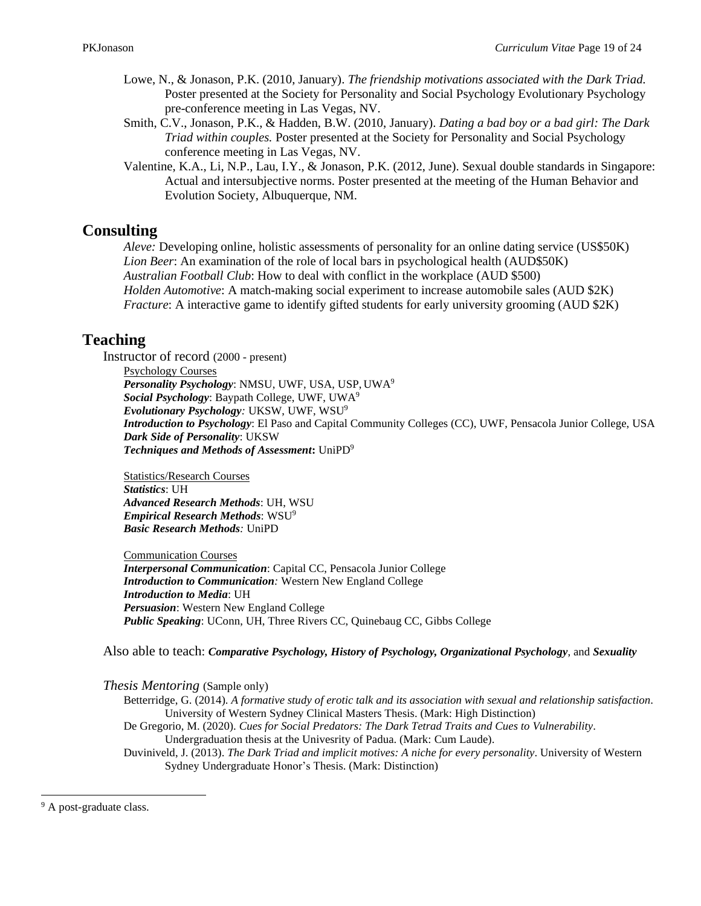- Lowe, N., & Jonason, P.K. (2010, January). *The friendship motivations associated with the Dark Triad.*  Poster presented at the Society for Personality and Social Psychology Evolutionary Psychology pre-conference meeting in Las Vegas, NV.
- Smith, C.V., Jonason, P.K., & Hadden, B.W. (2010, January). *Dating a bad boy or a bad girl: The Dark Triad within couples.* Poster presented at the Society for Personality and Social Psychology conference meeting in Las Vegas, NV.
- Valentine, K.A., Li, N.P., Lau, I.Y., & Jonason, P.K. (2012, June). Sexual double standards in Singapore: Actual and intersubjective norms. Poster presented at the meeting of the Human Behavior and Evolution Society, Albuquerque, NM.

# **Consulting**

*Aleve:* Developing online, holistic assessments of personality for an online dating service (US\$50K) *Lion Beer*: An examination of the role of local bars in psychological health (AUD\$50K) *Australian Football Club*: How to deal with conflict in the workplace (AUD \$500) *Holden Automotive*: A match-making social experiment to increase automobile sales (AUD \$2K) *Fracture*: A interactive game to identify gifted students for early university grooming (AUD \$2K)

# **Teaching**

Instructor of record (2000 - present)

Psychology Courses *Personality Psychology*: NMSU, UWF, USA, USP, UWA<sup>9</sup> *Social Psychology*: Baypath College, UWF, UWA<sup>9</sup> *Evolutionary Psychology:* UKSW, UWF, WSU<sup>9</sup> *Introduction to Psychology*: El Paso and Capital Community Colleges (CC), UWF, Pensacola Junior College, USA *Dark Side of Personality*: UKSW *Techniques and Methods of Assessment***:** UniPD<sup>9</sup>

Statistics/Research Courses *Statistics*: UH *Advanced Research Methods*: UH, WSU *Empirical Research Methods*: WSU<sup>9</sup> *Basic Research Methods:* UniPD

Communication Courses *Interpersonal Communication*: Capital CC, Pensacola Junior College *Introduction to Communication:* Western New England College *Introduction to Media*: UH *Persuasion*: Western New England College *Public Speaking*: UConn, UH, Three Rivers CC, Quinebaug CC, Gibbs College

Also able to teach: *Comparative Psychology, History of Psychology, Organizational Psychology*, and *Sexuality*

*Thesis Mentoring* (Sample only)

Betterridge, G. (2014). *A formative study of erotic talk and its association with sexual and relationship satisfaction*. University of Western Sydney Clinical Masters Thesis. (Mark: High Distinction) De Gregorio, M. (2020). *Cues for Social Predators: The Dark Tetrad Traits and Cues to Vulnerability*.

Undergraduation thesis at the Univesrity of Padua. (Mark: Cum Laude).

Duviniveld, J. (2013). *The Dark Triad and implicit motives: A niche for every personality*. University of Western Sydney Undergraduate Honor's Thesis. (Mark: Distinction)

<sup>&</sup>lt;sup>9</sup> A post-graduate class.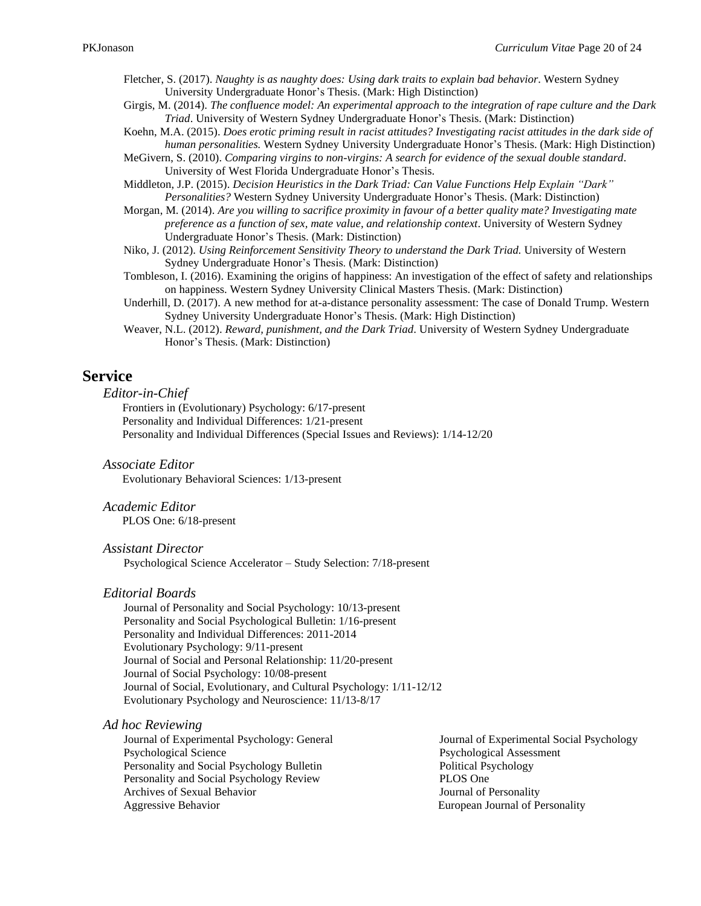Fletcher, S. (2017). *Naughty is as naughty does: Using dark traits to explain bad behavior*. Western Sydney University Undergraduate Honor's Thesis. (Mark: High Distinction)

- Girgis, M. (2014). *The confluence model: An experimental approach to the integration of rape culture and the Dark Triad*. University of Western Sydney Undergraduate Honor's Thesis. (Mark: Distinction)
- Koehn, M.A. (2015). *Does erotic priming result in racist attitudes? Investigating racist attitudes in the dark side of human personalities.* Western Sydney University Undergraduate Honor's Thesis. (Mark: High Distinction)
- MeGivern, S. (2010). *Comparing virgins to non-virgins: A search for evidence of the sexual double standard*. University of West Florida Undergraduate Honor's Thesis.

Middleton, J.P. (2015). *Decision Heuristics in the Dark Triad: Can Value Functions Help Explain "Dark" Personalities?* Western Sydney University Undergraduate Honor's Thesis. (Mark: Distinction)

Morgan, M. (2014). *Are you willing to sacrifice proximity in favour of a better quality mate? Investigating mate preference as a function of sex, mate value, and relationship context*. University of Western Sydney Undergraduate Honor's Thesis. (Mark: Distinction)

- Niko, J. (2012). *Using Reinforcement Sensitivity Theory to understand the Dark Triad.* University of Western Sydney Undergraduate Honor's Thesis. (Mark: Distinction)
- Tombleson, I. (2016). Examining the origins of happiness: An investigation of the effect of safety and relationships on happiness. Western Sydney University Clinical Masters Thesis. (Mark: Distinction)
- Underhill, D. (2017). A new method for at-a-distance personality assessment: The case of Donald Trump. Western Sydney University Undergraduate Honor's Thesis. (Mark: High Distinction)
- Weaver, N.L. (2012). *Reward, punishment, and the Dark Triad*. University of Western Sydney Undergraduate Honor's Thesis. (Mark: Distinction)

### **Service**

*Editor-in-Chief*

Frontiers in (Evolutionary) Psychology: 6/17-present Personality and Individual Differences: 1/21-present Personality and Individual Differences (Special Issues and Reviews): 1/14-12/20

*Associate Editor* Evolutionary Behavioral Sciences: 1/13-present

*Academic Editor* PLOS One: 6/18-present

### *Assistant Director*

Psychological Science Accelerator – Study Selection: 7/18-present

#### *Editorial Boards*

Journal of Personality and Social Psychology: 10/13-present Personality and Social Psychological Bulletin: 1/16-present Personality and Individual Differences: 2011-2014 Evolutionary Psychology: 9/11-present Journal of Social and Personal Relationship: 11/20-present Journal of Social Psychology: 10/08-present Journal of Social, Evolutionary, and Cultural Psychology: 1/11-12/12 Evolutionary Psychology and Neuroscience: 11/13-8/17

#### *Ad hoc Reviewing*

Journal of Experimental Psychology: General Psychological Science Personality and Social Psychology Bulletin Personality and Social Psychology Review Archives of Sexual Behavior Aggressive Behavior

Journal of Experimental Social Psychology Psychological Assessment Political Psychology PLOS One Journal of Personality European Journal of Personality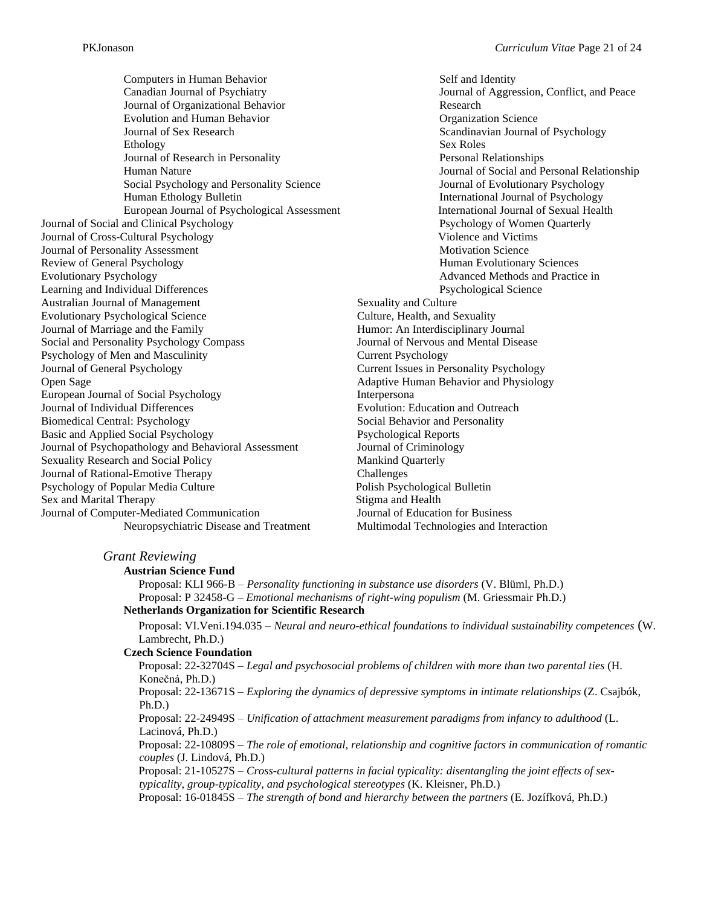Computers in Human Behavior Canadian Journal of Psychiatry Journal of Organizational Behavior Evolution and Human Behavior Journal of Sex Research Ethology Journal of Research in Personality Human Nature Social Psychology and Personality Science Human Ethology Bulletin European Journal of Psychological Assessment Journal of Social and Clinical Psychology Journal of Cross-Cultural Psychology Journal of Personality Assessment Review of General Psychology Evolutionary Psychology Learning and Individual Differences Australian Journal of Management Evolutionary Psychological Science Journal of Marriage and the Family Social and Personality Psychology Compass Psychology of Men and Masculinity Journal of General Psychology Open Sage European Journal of Social Psychology Journal of Individual Differences Biomedical Central: Psychology Basic and Applied Social Psychology Journal of Psychopathology and Behavioral Assessment Sexuality Research and Social Policy Journal of Rational-Emotive Therapy Psychology of Popular Media Culture Sex and Marital Therapy Journal of Computer-Mediated Communication Neuropsychiatric Disease and Treatment

Self and Identity Journal of Aggression, Conflict, and Peace Research Organization Science Scandinavian Journal of Psychology Sex Roles Personal Relationships Journal of Social and Personal Relationship Journal of Evolutionary Psychology International Journal of Psychology International Journal of Sexual Health Psychology of Women Quarterly Violence and Victims Motivation Science Human Evolutionary Sciences Advanced Methods and Practice in Psychological Science Sexuality and Culture Culture, Health, and Sexuality Humor: An Interdisciplinary Journal Journal of Nervous and Mental Disease Current Psychology Current Issues in Personality Psychology Adaptive Human Behavior and Physiology Interpersona Evolution: Education and Outreach Social Behavior and Personality Psychological Reports Journal of Criminology Mankind Quarterly Challenges Polish Psychological Bulletin Stigma and Health Journal of Education for Business Multimodal Technologies and Interaction

### *Grant Reviewing*

| <b>Austrian Science Fund</b> |
|------------------------------|
|------------------------------|

Proposal: KLI 966-B – *Personality functioning in substance use disorders* (V. Blüml, Ph.D.) Proposal: P 32458-G – *Emotional mechanisms of right-wing populism* (M. Griessmair Ph.D.) **Netherlands Organization for Scientific Research**

Proposal: VI.Veni.194.035 – *Neural and neuro-ethical foundations to individual sustainability competences* (W. Lambrecht, Ph.D.)

#### **Czech Science Foundation**

Proposal: 22-32704S – *Legal and psychosocial problems of children with more than two parental ties* (H. Konečná, Ph.D.) Proposal: 22-13671S – *Exploring the dynamics of depressive symptoms in intimate relationships* (Z. Csajbók, Ph.D.) Proposal: 22-24949S – *Unification of attachment measurement paradigms from infancy to adulthood* (L. Lacinová, Ph.D.) Proposal: 22-10809S – *The role of emotional, relationship and cognitive factors in communication of romantic couples* (J. Lindová, Ph.D.) Proposal: 21-10527S – *Cross-cultural patterns in facial typicality: disentangling the joint effects of sextypicality, group-typicality, and psychological stereotypes* (K. Kleisner, Ph.D.) Proposal: 16-01845S – *The strength of bond and hierarchy between the partners* (E. Jozífková, Ph.D.)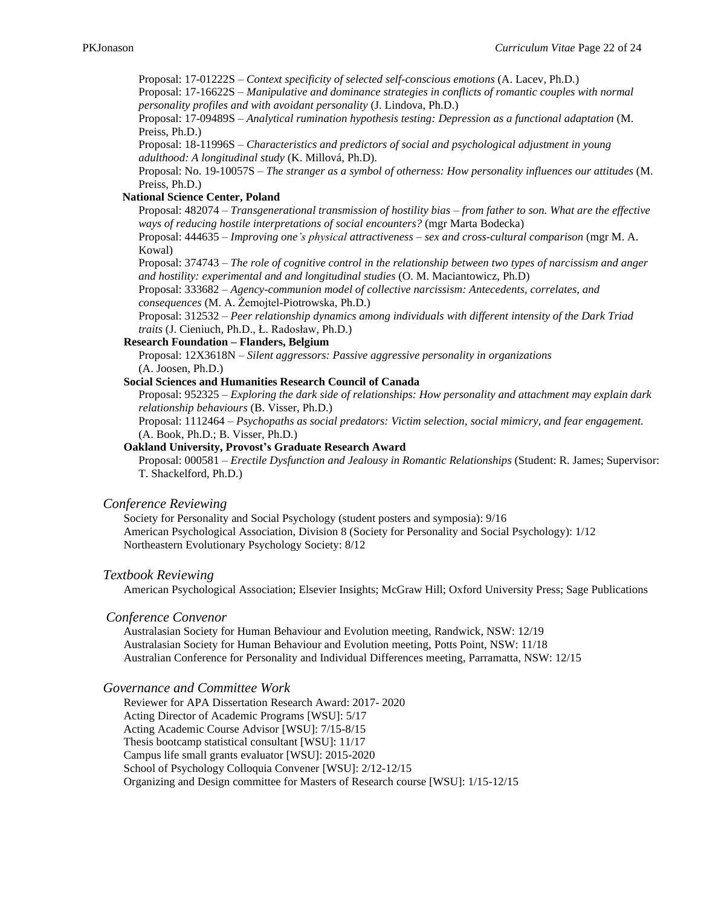Proposal: 17-01222S – *Context specificity of selected self-conscious emotions* (A. Lacev, Ph.D.)

Proposal: 17-16622S – *Manipulative and dominance strategies in conflicts of romantic couples with normal personality profiles and with avoidant personality* (J. Lindova, Ph.D.)

Proposal: 17-09489S – *Analytical rumination hypothesis testing: Depression as a functional adaptation* (M. Preiss, Ph.D.)

Proposal: 18-11996S – *Characteristics and predictors of social and psychological adjustment in young adulthood: A longitudinal study* (K. Millová, Ph.D).

Proposal: No. 19-10057S – *The stranger as a symbol of otherness: How personality influences our attitudes* (M. Preiss, Ph.D.)

### **National Science Center, Poland**

Proposal: 482074 – *Transgenerational transmission of hostility bias – from father to son. What are the effective ways of reducing hostile interpretations of social encounters?* (mgr Marta Bodecka)

Proposal: 444635 – *Improving one's physical attractiveness – sex and cross-cultural comparison* (mgr M. A. Kowal)

Proposal: 374743 – *The role of cognitive control in the relationship between two types of narcissism and anger and hostility: experimental and and longitudinal studies* (O. M. Maciantowicz, Ph.D)

Proposal: 333682 – *Agency-communion model of collective narcissism: Antecedents, correlates, and consequences* (M. A. Żemojtel-Piotrowska, Ph.D.)

Proposal: 312532 – *Peer relationship dynamics among individuals with different intensity of the Dark Triad traits* (J. Cieniuch, Ph.D., Ł. Radosław, Ph.D.)

### **Research Foundation – Flanders, Belgium**

Proposal: 12X3618N – *Silent aggressors: Passive aggressive personality in organizations* (A. Joosen, Ph.D.)

#### **Social Sciences and Humanities Research Council of Canada**

Proposal: 952325 – *Exploring the dark side of relationships: How personality and attachment may explain dark relationship behaviours* (B. Visser, Ph.D.)

Proposal: 1112464 – *Psychopaths as social predators: Victim selection, social mimicry, and fear engagement.* (A. Book, Ph.D.; B. Visser, Ph.D.)

### **Oakland University, Provost's Graduate Research Award**

Proposal: 000581 – *Erectile Dysfunction and Jealousy in Romantic Relationships* (Student: R. James; Supervisor: T. Shackelford, Ph.D.)

#### *Conference Reviewing*

Society for Personality and Social Psychology (student posters and symposia): 9/16 American Psychological Association, Division 8 (Society for Personality and Social Psychology): 1/12 Northeastern Evolutionary Psychology Society: 8/12

#### *Textbook Reviewing*

American Psychological Association; Elsevier Insights; McGraw Hill; Oxford University Press; Sage Publications

#### *Conference Convenor*

Australasian Society for Human Behaviour and Evolution meeting, Randwick, NSW: 12/19 Australasian Society for Human Behaviour and Evolution meeting, Potts Point, NSW: 11/18 Australian Conference for Personality and Individual Differences meeting, Parramatta, NSW: 12/15

#### *Governance and Committee Work*

Reviewer for APA Dissertation Research Award: 2017- 2020 Acting Director of Academic Programs [WSU]: 5/17 Acting Academic Course Advisor [WSU]: 7/15-8/15 Thesis bootcamp statistical consultant [WSU]: 11/17 Campus life small grants evaluator [WSU]: 2015-2020 School of Psychology Colloquia Convener [WSU]: 2/12-12/15 Organizing and Design committee for Masters of Research course [WSU]: 1/15-12/15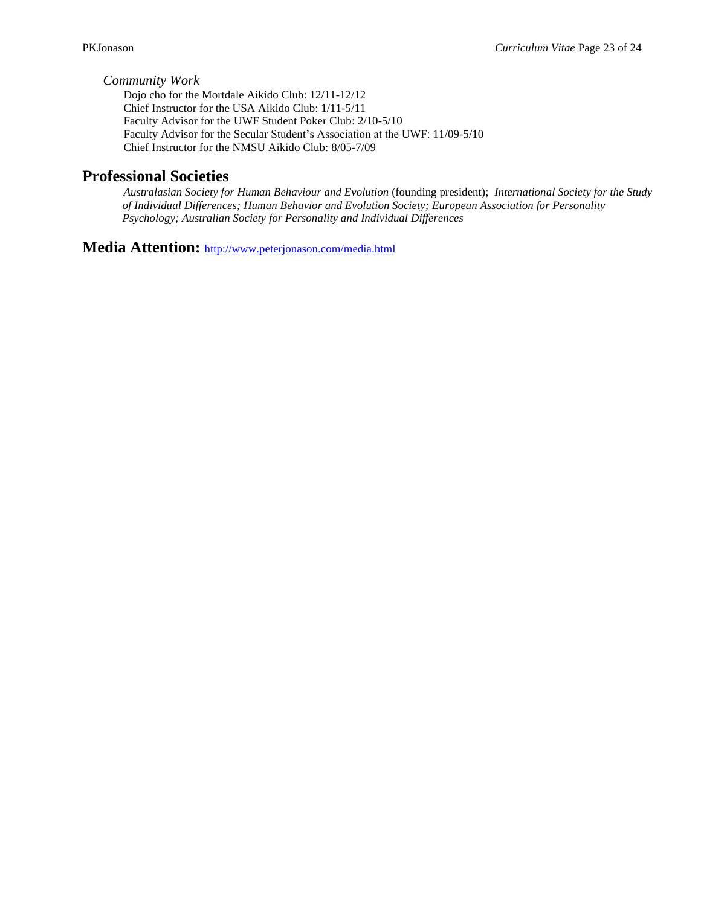### *Community Work*

Dojo cho for the Mortdale Aikido Club: 12/11-12/12 Chief Instructor for the USA Aikido Club: 1/11-5/11 Faculty Advisor for the UWF Student Poker Club: 2/10-5/10 Faculty Advisor for the Secular Student's Association at the UWF: 11/09-5/10 Chief Instructor for the NMSU Aikido Club: 8/05-7/09

### **Professional Societies**

*Australasian Society for Human Behaviour and Evolution* (founding president); *International Society for the Study of Individual Differences; Human Behavior and Evolution Society; European Association for Personality Psychology; Australian Society for Personality and Individual Differences*

**Media Attention:** <http://www.peterjonason.com/media.html>